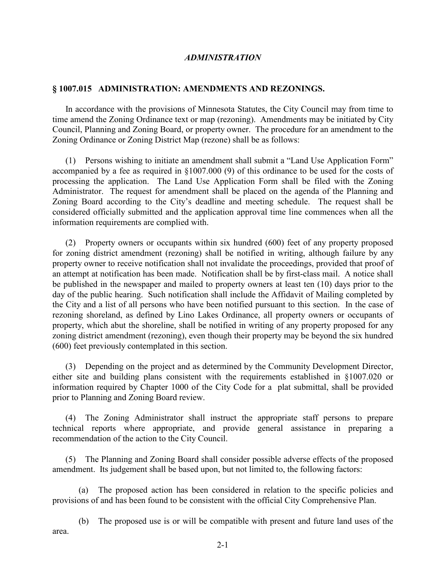### *ADMINISTRATION*

#### **§ 1007.015 ADMINISTRATION: AMENDMENTS AND REZONINGS.**

In accordance with the provisions of Minnesota Statutes, the City Council may from time to time amend the Zoning Ordinance text or map (rezoning). Amendments may be initiated by City Council, Planning and Zoning Board, or property owner. The procedure for an amendment to the Zoning Ordinance or Zoning District Map (rezone) shall be as follows:

(1) Persons wishing to initiate an amendment shall submit a "Land Use Application Form" accompanied by a fee as required in §1007.000 (9) of this ordinance to be used for the costs of processing the application. The Land Use Application Form shall be filed with the Zoning Administrator. The request for amendment shall be placed on the agenda of the Planning and Zoning Board according to the City's deadline and meeting schedule. The request shall be considered officially submitted and the application approval time line commences when all the information requirements are complied with.

(2) Property owners or occupants within six hundred (600) feet of any property proposed for zoning district amendment (rezoning) shall be notified in writing, although failure by any property owner to receive notification shall not invalidate the proceedings, provided that proof of an attempt at notification has been made. Notification shall be by first-class mail. A notice shall be published in the newspaper and mailed to property owners at least ten (10) days prior to the day of the public hearing. Such notification shall include the Affidavit of Mailing completed by the City and a list of all persons who have been notified pursuant to this section. In the case of rezoning shoreland, as defined by Lino Lakes Ordinance, all property owners or occupants of property, which abut the shoreline, shall be notified in writing of any property proposed for any zoning district amendment (rezoning), even though their property may be beyond the six hundred (600) feet previously contemplated in this section.

(3) Depending on the project and as determined by the Community Development Director, either site and building plans consistent with the requirements established in §1007.020 or information required by Chapter 1000 of the City Code for a plat submittal, shall be provided prior to Planning and Zoning Board review.

(4) The Zoning Administrator shall instruct the appropriate staff persons to prepare technical reports where appropriate, and provide general assistance in preparing a recommendation of the action to the City Council.

(5) The Planning and Zoning Board shall consider possible adverse effects of the proposed amendment. Its judgement shall be based upon, but not limited to, the following factors:

(a) The proposed action has been considered in relation to the specific policies and provisions of and has been found to be consistent with the official City Comprehensive Plan.

(b) The proposed use is or will be compatible with present and future land uses of the area.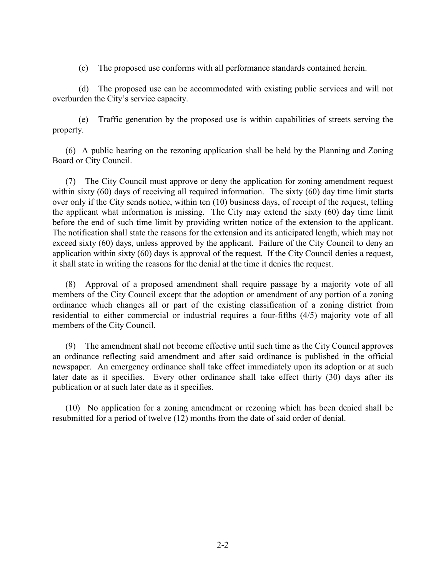(c) The proposed use conforms with all performance standards contained herein.

(d) The proposed use can be accommodated with existing public services and will not overburden the City's service capacity.

(e) Traffic generation by the proposed use is within capabilities of streets serving the property.

(6) A public hearing on the rezoning application shall be held by the Planning and Zoning Board or City Council.

(7) The City Council must approve or deny the application for zoning amendment request within sixty (60) days of receiving all required information. The sixty (60) day time limit starts over only if the City sends notice, within ten (10) business days, of receipt of the request, telling the applicant what information is missing. The City may extend the sixty (60) day time limit before the end of such time limit by providing written notice of the extension to the applicant. The notification shall state the reasons for the extension and its anticipated length, which may not exceed sixty (60) days, unless approved by the applicant. Failure of the City Council to deny an application within sixty (60) days is approval of the request. If the City Council denies a request, it shall state in writing the reasons for the denial at the time it denies the request.

(8) Approval of a proposed amendment shall require passage by a majority vote of all members of the City Council except that the adoption or amendment of any portion of a zoning ordinance which changes all or part of the existing classification of a zoning district from residential to either commercial or industrial requires a four-fifths (4/5) majority vote of all members of the City Council.

(9) The amendment shall not become effective until such time as the City Council approves an ordinance reflecting said amendment and after said ordinance is published in the official newspaper. An emergency ordinance shall take effect immediately upon its adoption or at such later date as it specifies. Every other ordinance shall take effect thirty (30) days after its publication or at such later date as it specifies.

(10) No application for a zoning amendment or rezoning which has been denied shall be resubmitted for a period of twelve (12) months from the date of said order of denial.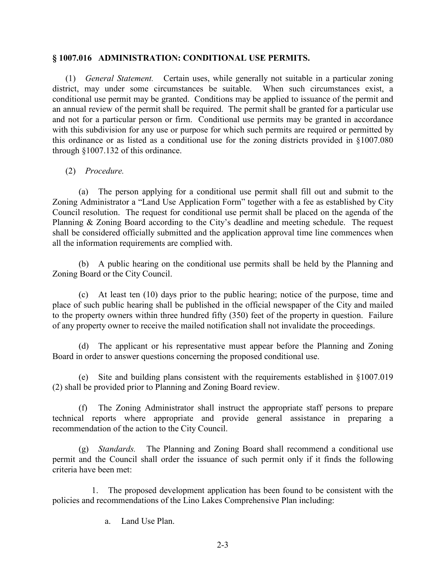### **§ 1007.016 ADMINISTRATION: CONDITIONAL USE PERMITS.**

(1) *General Statement.*Certain uses, while generally not suitable in a particular zoning district, may under some circumstances be suitable. When such circumstances exist, a conditional use permit may be granted. Conditions may be applied to issuance of the permit and an annual review of the permit shall be required. The permit shall be granted for a particular use and not for a particular person or firm. Conditional use permits may be granted in accordance with this subdivision for any use or purpose for which such permits are required or permitted by this ordinance or as listed as a conditional use for the zoning districts provided in §1007.080 through §1007.132 of this ordinance.

### (2) *Procedure.*

(a) The person applying for a conditional use permit shall fill out and submit to the Zoning Administrator a "Land Use Application Form" together with a fee as established by City Council resolution. The request for conditional use permit shall be placed on the agenda of the Planning & Zoning Board according to the City's deadline and meeting schedule. The request shall be considered officially submitted and the application approval time line commences when all the information requirements are complied with.

(b) A public hearing on the conditional use permits shall be held by the Planning and Zoning Board or the City Council.

(c) At least ten (10) days prior to the public hearing; notice of the purpose, time and place of such public hearing shall be published in the official newspaper of the City and mailed to the property owners within three hundred fifty (350) feet of the property in question. Failure of any property owner to receive the mailed notification shall not invalidate the proceedings.

(d) The applicant or his representative must appear before the Planning and Zoning Board in order to answer questions concerning the proposed conditional use.

(e) Site and building plans consistent with the requirements established in §1007.019 (2) shall be provided prior to Planning and Zoning Board review.

(f) The Zoning Administrator shall instruct the appropriate staff persons to prepare technical reports where appropriate and provide general assistance in preparing a recommendation of the action to the City Council.

(g) *Standards.*The Planning and Zoning Board shall recommend a conditional use permit and the Council shall order the issuance of such permit only if it finds the following criteria have been met:

1. The proposed development application has been found to be consistent with the policies and recommendations of the Lino Lakes Comprehensive Plan including:

a. Land Use Plan.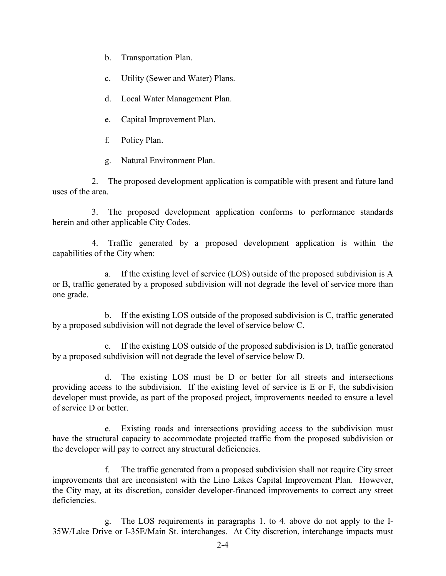b. Transportation Plan.

c. Utility (Sewer and Water) Plans.

d. Local Water Management Plan.

e. Capital Improvement Plan.

f. Policy Plan.

g. Natural Environment Plan.

2. The proposed development application is compatible with present and future land uses of the area.

3. The proposed development application conforms to performance standards herein and other applicable City Codes.

4. Traffic generated by a proposed development application is within the capabilities of the City when:

a. If the existing level of service (LOS) outside of the proposed subdivision is A or B, traffic generated by a proposed subdivision will not degrade the level of service more than one grade.

b. If the existing LOS outside of the proposed subdivision is C, traffic generated by a proposed subdivision will not degrade the level of service below C.

c. If the existing LOS outside of the proposed subdivision is D, traffic generated by a proposed subdivision will not degrade the level of service below D.

d. The existing LOS must be D or better for all streets and intersections providing access to the subdivision. If the existing level of service is E or F, the subdivision developer must provide, as part of the proposed project, improvements needed to ensure a level of service D or better.

e. Existing roads and intersections providing access to the subdivision must have the structural capacity to accommodate projected traffic from the proposed subdivision or the developer will pay to correct any structural deficiencies.

f. The traffic generated from a proposed subdivision shall not require City street improvements that are inconsistent with the Lino Lakes Capital Improvement Plan. However, the City may, at its discretion, consider developer-financed improvements to correct any street deficiencies.

g. The LOS requirements in paragraphs 1. to 4. above do not apply to the I-35W/Lake Drive or I-35E/Main St. interchanges. At City discretion, interchange impacts must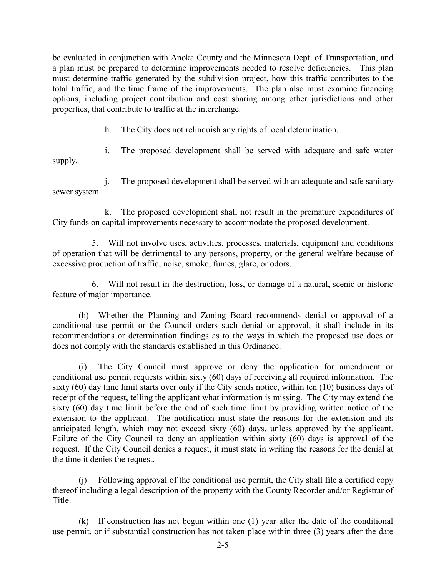be evaluated in conjunction with Anoka County and the Minnesota Dept. of Transportation, and a plan must be prepared to determine improvements needed to resolve deficiencies. This plan must determine traffic generated by the subdivision project, how this traffic contributes to the total traffic, and the time frame of the improvements. The plan also must examine financing options, including project contribution and cost sharing among other jurisdictions and other properties, that contribute to traffic at the interchange.

h. The City does not relinquish any rights of local determination.

i. The proposed development shall be served with adequate and safe water supply.

j. The proposed development shall be served with an adequate and safe sanitary sewer system.

k. The proposed development shall not result in the premature expenditures of City funds on capital improvements necessary to accommodate the proposed development.

5. Will not involve uses, activities, processes, materials, equipment and conditions of operation that will be detrimental to any persons, property, or the general welfare because of excessive production of traffic, noise, smoke, fumes, glare, or odors.

6. Will not result in the destruction, loss, or damage of a natural, scenic or historic feature of major importance.

(h) Whether the Planning and Zoning Board recommends denial or approval of a conditional use permit or the Council orders such denial or approval, it shall include in its recommendations or determination findings as to the ways in which the proposed use does or does not comply with the standards established in this Ordinance.

(i) The City Council must approve or deny the application for amendment or conditional use permit requests within sixty (60) days of receiving all required information. The sixty (60) day time limit starts over only if the City sends notice, within ten (10) business days of receipt of the request, telling the applicant what information is missing. The City may extend the sixty (60) day time limit before the end of such time limit by providing written notice of the extension to the applicant. The notification must state the reasons for the extension and its anticipated length, which may not exceed sixty (60) days, unless approved by the applicant. Failure of the City Council to deny an application within sixty (60) days is approval of the request. If the City Council denies a request, it must state in writing the reasons for the denial at the time it denies the request.

(j) Following approval of the conditional use permit, the City shall file a certified copy thereof including a legal description of the property with the County Recorder and/or Registrar of Title.

(k) If construction has not begun within one (1) year after the date of the conditional use permit, or if substantial construction has not taken place within three (3) years after the date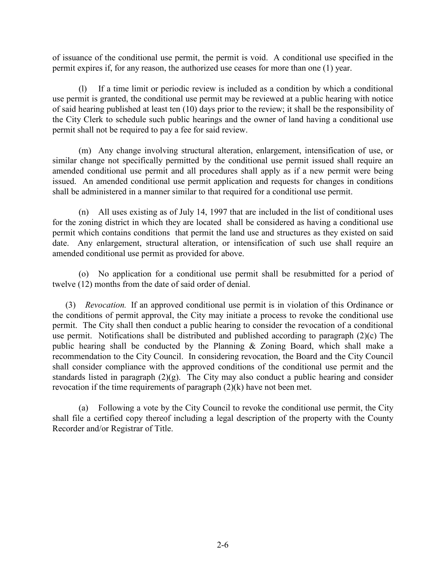of issuance of the conditional use permit, the permit is void. A conditional use specified in the permit expires if, for any reason, the authorized use ceases for more than one (1) year.

(l) If a time limit or periodic review is included as a condition by which a conditional use permit is granted, the conditional use permit may be reviewed at a public hearing with notice of said hearing published at least ten (10) days prior to the review; it shall be the responsibility of the City Clerk to schedule such public hearings and the owner of land having a conditional use permit shall not be required to pay a fee for said review.

(m) Any change involving structural alteration, enlargement, intensification of use, or similar change not specifically permitted by the conditional use permit issued shall require an amended conditional use permit and all procedures shall apply as if a new permit were being issued. An amended conditional use permit application and requests for changes in conditions shall be administered in a manner similar to that required for a conditional use permit.

(n) All uses existing as of July 14, 1997 that are included in the list of conditional uses for the zoning district in which they are located shall be considered as having a conditional use permit which contains conditions that permit the land use and structures as they existed on said date. Any enlargement, structural alteration, or intensification of such use shall require an amended conditional use permit as provided for above.

(o) No application for a conditional use permit shall be resubmitted for a period of twelve (12) months from the date of said order of denial.

(3) *Revocation.* If an approved conditional use permit is in violation of this Ordinance or the conditions of permit approval, the City may initiate a process to revoke the conditional use permit. The City shall then conduct a public hearing to consider the revocation of a conditional use permit. Notifications shall be distributed and published according to paragraph (2)(c) The public hearing shall be conducted by the Planning & Zoning Board, which shall make a recommendation to the City Council. In considering revocation, the Board and the City Council shall consider compliance with the approved conditions of the conditional use permit and the standards listed in paragraph  $(2)(g)$ . The City may also conduct a public hearing and consider revocation if the time requirements of paragraph  $(2)(k)$  have not been met.

(a) Following a vote by the City Council to revoke the conditional use permit, the City shall file a certified copy thereof including a legal description of the property with the County Recorder and/or Registrar of Title.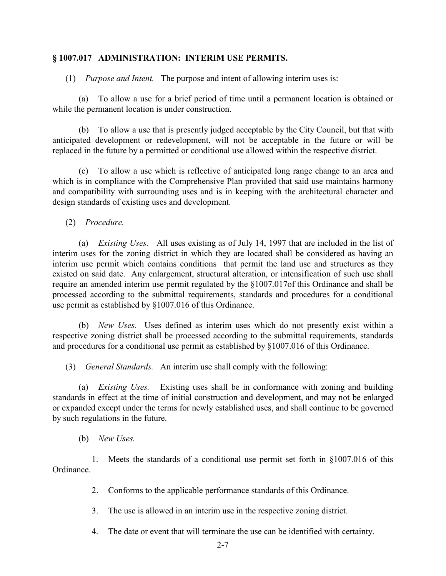### **§ 1007.017 ADMINISTRATION: INTERIM USE PERMITS.**

(1) *Purpose and Intent.* The purpose and intent of allowing interim uses is:

(a) To allow a use for a brief period of time until a permanent location is obtained or while the permanent location is under construction.

(b) To allow a use that is presently judged acceptable by the City Council, but that with anticipated development or redevelopment, will not be acceptable in the future or will be replaced in the future by a permitted or conditional use allowed within the respective district.

(c) To allow a use which is reflective of anticipated long range change to an area and which is in compliance with the Comprehensive Plan provided that said use maintains harmony and compatibility with surrounding uses and is in keeping with the architectural character and design standards of existing uses and development.

(2) *Procedure.*

(a) *Existing Uses.* All uses existing as of July 14, 1997 that are included in the list of interim uses for the zoning district in which they are located shall be considered as having an interim use permit which contains conditions that permit the land use and structures as they existed on said date. Any enlargement, structural alteration, or intensification of such use shall require an amended interim use permit regulated by the §1007.017of this Ordinance and shall be processed according to the submittal requirements, standards and procedures for a conditional use permit as established by §1007.016 of this Ordinance.

(b) *New Uses.* Uses defined as interim uses which do not presently exist within a respective zoning district shall be processed according to the submittal requirements, standards and procedures for a conditional use permit as established by §1007.016 of this Ordinance.

(3) *General Standards.*An interim use shall comply with the following:

(a) *Existing Uses.* Existing uses shall be in conformance with zoning and building standards in effect at the time of initial construction and development, and may not be enlarged or expanded except under the terms for newly established uses, and shall continue to be governed by such regulations in the future.

(b) *New Uses.*

1. Meets the standards of a conditional use permit set forth in §1007.016 of this Ordinance.

- 2. Conforms to the applicable performance standards of this Ordinance.
- 3. The use is allowed in an interim use in the respective zoning district.
- 4. The date or event that will terminate the use can be identified with certainty.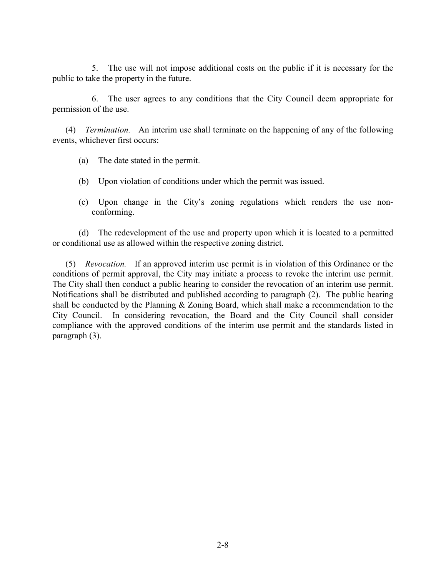5. The use will not impose additional costs on the public if it is necessary for the public to take the property in the future.

6. The user agrees to any conditions that the City Council deem appropriate for permission of the use.

(4) *Termination.* An interim use shall terminate on the happening of any of the following events, whichever first occurs:

- (a) The date stated in the permit.
- (b) Upon violation of conditions under which the permit was issued.
- (c) Upon change in the City's zoning regulations which renders the use nonconforming.

(d) The redevelopment of the use and property upon which it is located to a permitted or conditional use as allowed within the respective zoning district.

(5) *Revocation.* If an approved interim use permit is in violation of this Ordinance or the conditions of permit approval, the City may initiate a process to revoke the interim use permit. The City shall then conduct a public hearing to consider the revocation of an interim use permit. Notifications shall be distributed and published according to paragraph (2). The public hearing shall be conducted by the Planning & Zoning Board, which shall make a recommendation to the City Council. In considering revocation, the Board and the City Council shall consider compliance with the approved conditions of the interim use permit and the standards listed in paragraph (3).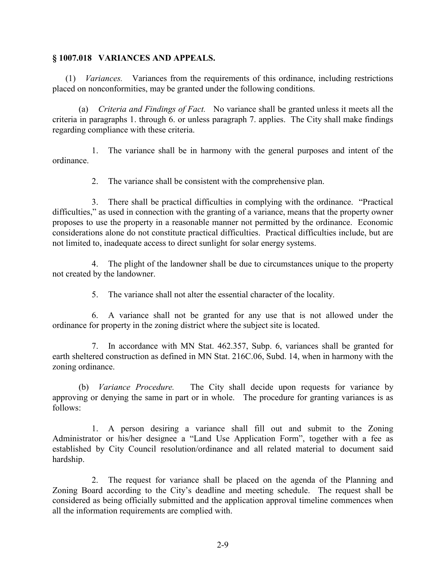### **§ 1007.018 VARIANCES AND APPEALS.**

(1) *Variances.* Variances from the requirements of this ordinance, including restrictions placed on nonconformities, may be granted under the following conditions.

(a) *Criteria and Findings of Fact.* No variance shall be granted unless it meets all the criteria in paragraphs 1. through 6. or unless paragraph 7. applies. The City shall make findings regarding compliance with these criteria.

1. The variance shall be in harmony with the general purposes and intent of the ordinance.

2. The variance shall be consistent with the comprehensive plan.

3. There shall be practical difficulties in complying with the ordinance. "Practical difficulties," as used in connection with the granting of a variance, means that the property owner proposes to use the property in a reasonable manner not permitted by the ordinance. Economic considerations alone do not constitute practical difficulties. Practical difficulties include, but are not limited to, inadequate access to direct sunlight for solar energy systems.

4. The plight of the landowner shall be due to circumstances unique to the property not created by the landowner.

5. The variance shall not alter the essential character of the locality.

6. A variance shall not be granted for any use that is not allowed under the ordinance for property in the zoning district where the subject site is located.

7. In accordance with MN Stat. 462.357, Subp. 6, variances shall be granted for earth sheltered construction as defined in MN Stat. 216C.06, Subd. 14, when in harmony with the zoning ordinance.

(b) *Variance Procedure.* The City shall decide upon requests for variance by approving or denying the same in part or in whole. The procedure for granting variances is as follows:

1. A person desiring a variance shall fill out and submit to the Zoning Administrator or his/her designee a "Land Use Application Form", together with a fee as established by City Council resolution/ordinance and all related material to document said hardship.

2. The request for variance shall be placed on the agenda of the Planning and Zoning Board according to the City's deadline and meeting schedule. The request shall be considered as being officially submitted and the application approval timeline commences when all the information requirements are complied with.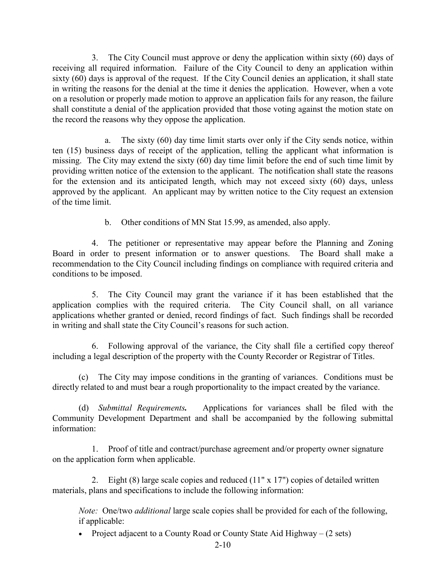3. The City Council must approve or deny the application within sixty (60) days of receiving all required information. Failure of the City Council to deny an application within sixty (60) days is approval of the request. If the City Council denies an application, it shall state in writing the reasons for the denial at the time it denies the application. However, when a vote on a resolution or properly made motion to approve an application fails for any reason, the failure shall constitute a denial of the application provided that those voting against the motion state on the record the reasons why they oppose the application.

a. The sixty (60) day time limit starts over only if the City sends notice, within ten (15) business days of receipt of the application, telling the applicant what information is missing. The City may extend the sixty (60) day time limit before the end of such time limit by providing written notice of the extension to the applicant. The notification shall state the reasons for the extension and its anticipated length, which may not exceed sixty (60) days, unless approved by the applicant. An applicant may by written notice to the City request an extension of the time limit.

b. Other conditions of MN Stat 15.99, as amended, also apply.

4. The petitioner or representative may appear before the Planning and Zoning Board in order to present information or to answer questions. The Board shall make a recommendation to the City Council including findings on compliance with required criteria and conditions to be imposed.

5. The City Council may grant the variance if it has been established that the application complies with the required criteria. The City Council shall, on all variance applications whether granted or denied, record findings of fact. Such findings shall be recorded in writing and shall state the City Council's reasons for such action.

6. Following approval of the variance, the City shall file a certified copy thereof including a legal description of the property with the County Recorder or Registrar of Titles.

(c) The City may impose conditions in the granting of variances. Conditions must be directly related to and must bear a rough proportionality to the impact created by the variance.

(d) *Submittal Requirements.* Applications for variances shall be filed with the Community Development Department and shall be accompanied by the following submittal information:

1. Proof of title and contract/purchase agreement and/or property owner signature on the application form when applicable.

2. Eight (8) large scale copies and reduced (11" x 17") copies of detailed written materials, plans and specifications to include the following information:

*Note:* One/two *additional* large scale copies shall be provided for each of the following, if applicable:

• Project adjacent to a County Road or County State Aid Highway  $- (2 \text{ sets})$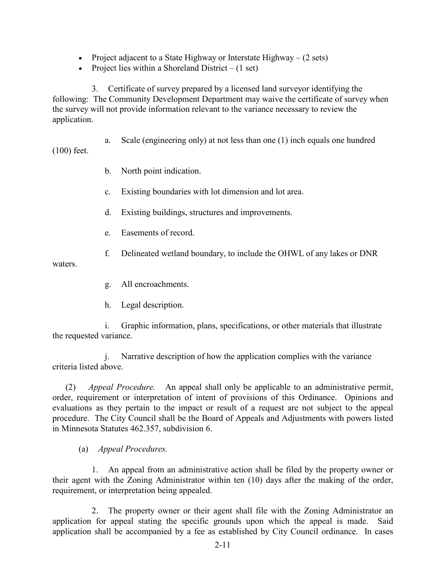- Project adjacent to a State Highway or Interstate Highway  $(2 \text{ sets})$
- Project lies within a Shoreland District  $(1 \text{ set})$

3. Certificate of survey prepared by a licensed land surveyor identifying the following: The Community Development Department may waive the certificate of survey when the survey will not provide information relevant to the variance necessary to review the application.

a. Scale (engineering only) at not less than one (1) inch equals one hundred

(100) feet.

- b. North point indication.
- c. Existing boundaries with lot dimension and lot area.
- d. Existing buildings, structures and improvements.
- e. Easements of record.
- f. Delineated wetland boundary, to include the OHWL of any lakes or DNR

waters.

- g. All encroachments.
- h. Legal description.

i. Graphic information, plans, specifications, or other materials that illustrate the requested variance.

j. Narrative description of how the application complies with the variance criteria listed above.

(2) *Appeal Procedure.* An appeal shall only be applicable to an administrative permit, order, requirement or interpretation of intent of provisions of this Ordinance. Opinions and evaluations as they pertain to the impact or result of a request are not subject to the appeal procedure. The City Council shall be the Board of Appeals and Adjustments with powers listed in Minnesota Statutes 462.357, subdivision 6.

(a) *Appeal Procedures.*

1. An appeal from an administrative action shall be filed by the property owner or their agent with the Zoning Administrator within ten (10) days after the making of the order, requirement, or interpretation being appealed.

2. The property owner or their agent shall file with the Zoning Administrator an application for appeal stating the specific grounds upon which the appeal is made. Said application shall be accompanied by a fee as established by City Council ordinance. In cases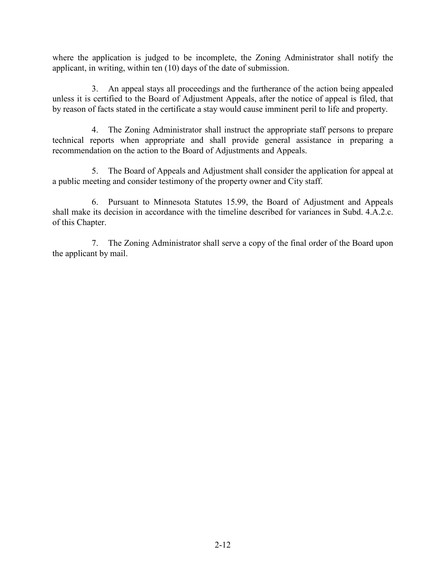where the application is judged to be incomplete, the Zoning Administrator shall notify the applicant, in writing, within ten (10) days of the date of submission.

3. An appeal stays all proceedings and the furtherance of the action being appealed unless it is certified to the Board of Adjustment Appeals, after the notice of appeal is filed, that by reason of facts stated in the certificate a stay would cause imminent peril to life and property.

4. The Zoning Administrator shall instruct the appropriate staff persons to prepare technical reports when appropriate and shall provide general assistance in preparing a recommendation on the action to the Board of Adjustments and Appeals.

5. The Board of Appeals and Adjustment shall consider the application for appeal at a public meeting and consider testimony of the property owner and City staff.

6. Pursuant to Minnesota Statutes 15.99, the Board of Adjustment and Appeals shall make its decision in accordance with the timeline described for variances in Subd. 4.A.2.c. of this Chapter.

7. The Zoning Administrator shall serve a copy of the final order of the Board upon the applicant by mail.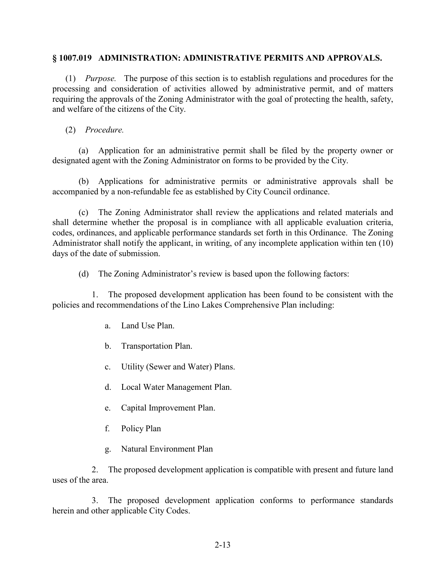### **§ 1007.019 ADMINISTRATION: ADMINISTRATIVE PERMITS AND APPROVALS.**

(1) *Purpose.* The purpose of this section is to establish regulations and procedures for the processing and consideration of activities allowed by administrative permit, and of matters requiring the approvals of the Zoning Administrator with the goal of protecting the health, safety, and welfare of the citizens of the City.

(2) *Procedure.* 

(a) Application for an administrative permit shall be filed by the property owner or designated agent with the Zoning Administrator on forms to be provided by the City.

(b) Applications for administrative permits or administrative approvals shall be accompanied by a non-refundable fee as established by City Council ordinance.

(c) The Zoning Administrator shall review the applications and related materials and shall determine whether the proposal is in compliance with all applicable evaluation criteria, codes, ordinances, and applicable performance standards set forth in this Ordinance. The Zoning Administrator shall notify the applicant, in writing, of any incomplete application within ten (10) days of the date of submission.

(d) The Zoning Administrator's review is based upon the following factors:

1. The proposed development application has been found to be consistent with the policies and recommendations of the Lino Lakes Comprehensive Plan including:

- a. Land Use Plan.
- b. Transportation Plan.
- c. Utility (Sewer and Water) Plans.
- d. Local Water Management Plan.
- e. Capital Improvement Plan.
- f. Policy Plan
- g. Natural Environment Plan

2. The proposed development application is compatible with present and future land uses of the area.

3. The proposed development application conforms to performance standards herein and other applicable City Codes.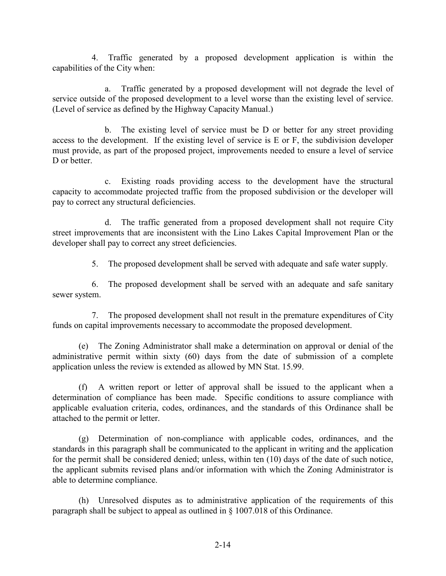4. Traffic generated by a proposed development application is within the capabilities of the City when:

a. Traffic generated by a proposed development will not degrade the level of service outside of the proposed development to a level worse than the existing level of service. (Level of service as defined by the Highway Capacity Manual.)

b. The existing level of service must be D or better for any street providing access to the development. If the existing level of service is E or F, the subdivision developer must provide, as part of the proposed project, improvements needed to ensure a level of service D or better.

c. Existing roads providing access to the development have the structural capacity to accommodate projected traffic from the proposed subdivision or the developer will pay to correct any structural deficiencies.

d. The traffic generated from a proposed development shall not require City street improvements that are inconsistent with the Lino Lakes Capital Improvement Plan or the developer shall pay to correct any street deficiencies.

5. The proposed development shall be served with adequate and safe water supply.

6. The proposed development shall be served with an adequate and safe sanitary sewer system.

7. The proposed development shall not result in the premature expenditures of City funds on capital improvements necessary to accommodate the proposed development.

(e) The Zoning Administrator shall make a determination on approval or denial of the administrative permit within sixty (60) days from the date of submission of a complete application unless the review is extended as allowed by MN Stat. 15.99.

(f) A written report or letter of approval shall be issued to the applicant when a determination of compliance has been made. Specific conditions to assure compliance with applicable evaluation criteria, codes, ordinances, and the standards of this Ordinance shall be attached to the permit or letter.

(g) Determination of non-compliance with applicable codes, ordinances, and the standards in this paragraph shall be communicated to the applicant in writing and the application for the permit shall be considered denied; unless, within ten (10) days of the date of such notice, the applicant submits revised plans and/or information with which the Zoning Administrator is able to determine compliance.

(h) Unresolved disputes as to administrative application of the requirements of this paragraph shall be subject to appeal as outlined in § 1007.018 of this Ordinance.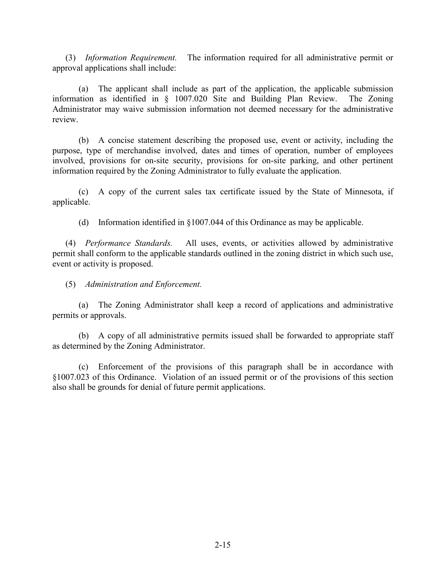(3) *Information Requirement.* The information required for all administrative permit or approval applications shall include:

(a) The applicant shall include as part of the application, the applicable submission information as identified in § 1007.020 Site and Building Plan Review. The Zoning Administrator may waive submission information not deemed necessary for the administrative review.

(b) A concise statement describing the proposed use, event or activity, including the purpose, type of merchandise involved, dates and times of operation, number of employees involved, provisions for on-site security, provisions for on-site parking, and other pertinent information required by the Zoning Administrator to fully evaluate the application.

(c) A copy of the current sales tax certificate issued by the State of Minnesota, if applicable.

(d) Information identified in §1007.044 of this Ordinance as may be applicable.

(4) *Performance Standards.* All uses, events, or activities allowed by administrative permit shall conform to the applicable standards outlined in the zoning district in which such use, event or activity is proposed.

## (5) *Administration and Enforcement.*

(a) The Zoning Administrator shall keep a record of applications and administrative permits or approvals.

(b) A copy of all administrative permits issued shall be forwarded to appropriate staff as determined by the Zoning Administrator.

(c) Enforcement of the provisions of this paragraph shall be in accordance with §1007.023 of this Ordinance. Violation of an issued permit or of the provisions of this section also shall be grounds for denial of future permit applications.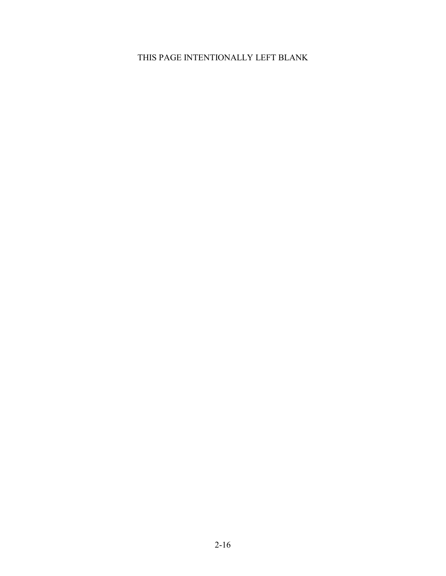# THIS PAGE INTENTIONALLY LEFT BLANK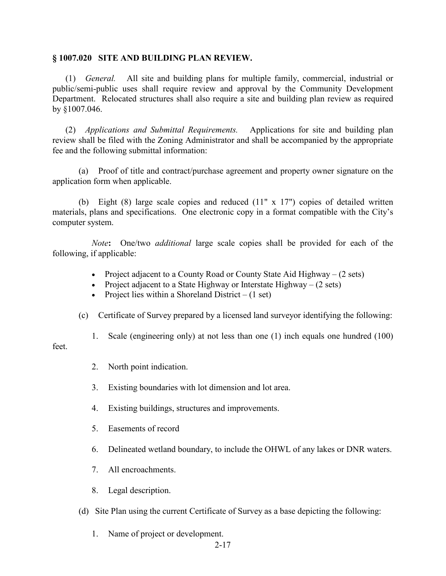#### **§ 1007.020 SITE AND BUILDING PLAN REVIEW.**

(1) *General.* All site and building plans for multiple family, commercial, industrial or public/semi-public uses shall require review and approval by the Community Development Department. Relocated structures shall also require a site and building plan review as required by §1007.046.

(2) *Applications and Submittal Requirements.* Applications for site and building plan review shall be filed with the Zoning Administrator and shall be accompanied by the appropriate fee and the following submittal information:

(a) Proof of title and contract/purchase agreement and property owner signature on the application form when applicable.

(b) Eight (8) large scale copies and reduced (11" x 17") copies of detailed written materials, plans and specifications. One electronic copy in a format compatible with the City's computer system.

*Note***:** One/two *additional* large scale copies shall be provided for each of the following, if applicable:

- Project adjacent to a County Road or County State Aid Highway (2 sets)
- Project adjacent to a State Highway or Interstate Highway  $(2 \text{ sets})$
- Project lies within a Shoreland District  $(1 \text{ set})$
- (c) Certificate of Survey prepared by a licensed land surveyor identifying the following:
- 1. Scale (engineering only) at not less than one (1) inch equals one hundred (100)

feet.

- 2. North point indication.
- 3. Existing boundaries with lot dimension and lot area.
- 4. Existing buildings, structures and improvements.
- 5. Easements of record
- 6. Delineated wetland boundary, to include the OHWL of any lakes or DNR waters.
- 7. All encroachments.
- 8. Legal description.
- (d) Site Plan using the current Certificate of Survey as a base depicting the following:
	- 1. Name of project or development.

2-17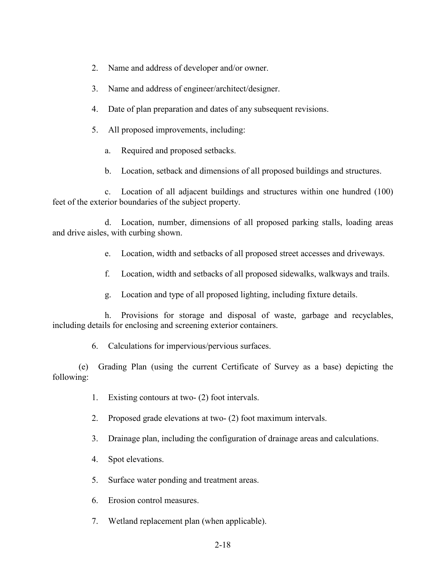- 2. Name and address of developer and/or owner.
- 3. Name and address of engineer/architect/designer.
- 4. Date of plan preparation and dates of any subsequent revisions.
- 5. All proposed improvements, including:
	- a. Required and proposed setbacks.
	- b. Location, setback and dimensions of all proposed buildings and structures.

c. Location of all adjacent buildings and structures within one hundred (100) feet of the exterior boundaries of the subject property.

d. Location, number, dimensions of all proposed parking stalls, loading areas and drive aisles, with curbing shown.

- e. Location, width and setbacks of all proposed street accesses and driveways.
- f. Location, width and setbacks of all proposed sidewalks, walkways and trails.
- g. Location and type of all proposed lighting, including fixture details.

h. Provisions for storage and disposal of waste, garbage and recyclables, including details for enclosing and screening exterior containers.

6. Calculations for impervious/pervious surfaces.

(e) Grading Plan (using the current Certificate of Survey as a base) depicting the following:

- 1. Existing contours at two- (2) foot intervals.
- 2. Proposed grade elevations at two- (2) foot maximum intervals.
- 3. Drainage plan, including the configuration of drainage areas and calculations.
- 4. Spot elevations.
- 5. Surface water ponding and treatment areas.
- 6. Erosion control measures.
- 7. Wetland replacement plan (when applicable).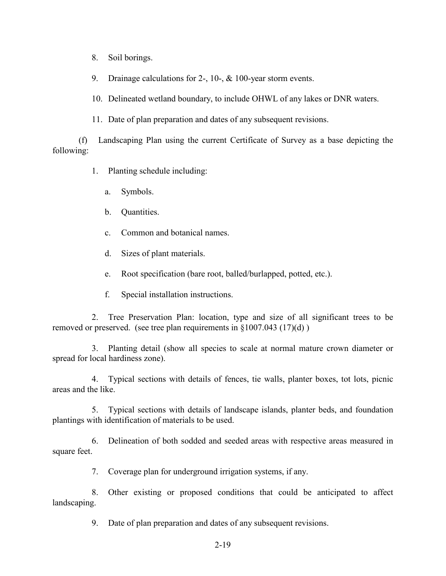- 8. Soil borings.
- 9. Drainage calculations for 2-, 10-, & 100-year storm events.

10. Delineated wetland boundary, to include OHWL of any lakes or DNR waters.

11. Date of plan preparation and dates of any subsequent revisions.

(f) Landscaping Plan using the current Certificate of Survey as a base depicting the following:

- 1. Planting schedule including:
	- a. Symbols.
	- b. Quantities.
	- c. Common and botanical names.
	- d. Sizes of plant materials.
	- e. Root specification (bare root, balled/burlapped, potted, etc.).
	- f. Special installation instructions.

2. Tree Preservation Plan: location, type and size of all significant trees to be removed or preserved. (see tree plan requirements in §1007.043 (17)(d) )

3. Planting detail (show all species to scale at normal mature crown diameter or spread for local hardiness zone).

4. Typical sections with details of fences, tie walls, planter boxes, tot lots, picnic areas and the like.

5. Typical sections with details of landscape islands, planter beds, and foundation plantings with identification of materials to be used.

6. Delineation of both sodded and seeded areas with respective areas measured in square feet.

7. Coverage plan for underground irrigation systems, if any.

8. Other existing or proposed conditions that could be anticipated to affect landscaping.

9. Date of plan preparation and dates of any subsequent revisions.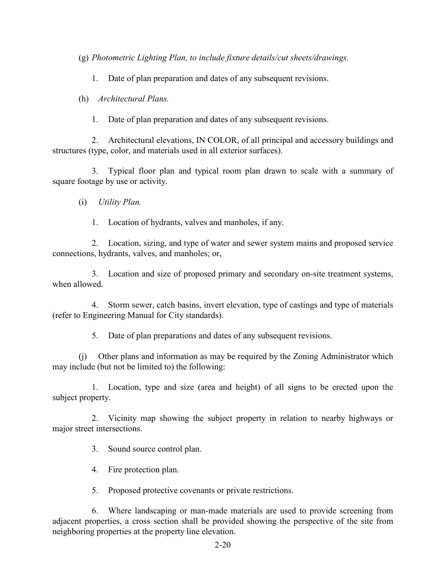(g) *Photometric Lighting Plan, to include fixture details/cut sheets/drawings.*

1. Date of plan preparation and dates of any subsequent revisions.

(h) *Architectural Plans.*

1. Date of plan preparation and dates of any subsequent revisions.

2. Architectural elevations, IN COLOR, of all principal and accessory buildings and structures (type, color, and materials used in all exterior surfaces).

3. Typical floor plan and typical room plan drawn to scale with a summary of square footage by use or activity.

(i) *Utility Plan.*

1. Location of hydrants, valves and manholes, if any.

2. Location, sizing, and type of water and sewer system mains and proposed service connections, hydrants, valves, and manholes; or,

3. Location and size of proposed primary and secondary on-site treatment systems, when allowed.

4. Storm sewer, catch basins, invert elevation, type of castings and type of materials (refer to Engineering Manual for City standards).

5. Date of plan preparations and dates of any subsequent revisions.

(j) Other plans and information as may be required by the Zoning Administrator which may include (but not be limited to) the following:

1. Location, type and size (area and height) of all signs to be erected upon the subject property.

2. Vicinity map showing the subject property in relation to nearby highways or major street intersections.

3. Sound source control plan.

4. Fire protection plan.

5. Proposed protective covenants or private restrictions.

6. Where landscaping or man-made materials are used to provide screening from adjacent properties, a cross section shall be provided showing the perspective of the site from neighboring properties at the property line elevation.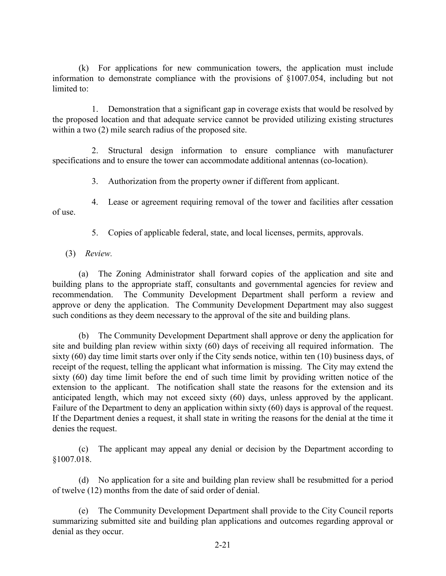(k) For applications for new communication towers, the application must include information to demonstrate compliance with the provisions of §1007.054, including but not limited to:

1. Demonstration that a significant gap in coverage exists that would be resolved by the proposed location and that adequate service cannot be provided utilizing existing structures within a two  $(2)$  mile search radius of the proposed site.

2. Structural design information to ensure compliance with manufacturer specifications and to ensure the tower can accommodate additional antennas (co-location).

3. Authorization from the property owner if different from applicant.

4. Lease or agreement requiring removal of the tower and facilities after cessation of use.

5. Copies of applicable federal, state, and local licenses, permits, approvals.

(3) *Review.*

(a) The Zoning Administrator shall forward copies of the application and site and building plans to the appropriate staff, consultants and governmental agencies for review and recommendation. The Community Development Department shall perform a review and approve or deny the application. The Community Development Department may also suggest such conditions as they deem necessary to the approval of the site and building plans.

(b) The Community Development Department shall approve or deny the application for site and building plan review within sixty (60) days of receiving all required information. The sixty (60) day time limit starts over only if the City sends notice, within ten (10) business days, of receipt of the request, telling the applicant what information is missing. The City may extend the sixty (60) day time limit before the end of such time limit by providing written notice of the extension to the applicant. The notification shall state the reasons for the extension and its anticipated length, which may not exceed sixty (60) days, unless approved by the applicant. Failure of the Department to deny an application within sixty (60) days is approval of the request. If the Department denies a request, it shall state in writing the reasons for the denial at the time it denies the request.

(c) The applicant may appeal any denial or decision by the Department according to §1007.018.

(d) No application for a site and building plan review shall be resubmitted for a period of twelve (12) months from the date of said order of denial.

(e) The Community Development Department shall provide to the City Council reports summarizing submitted site and building plan applications and outcomes regarding approval or denial as they occur.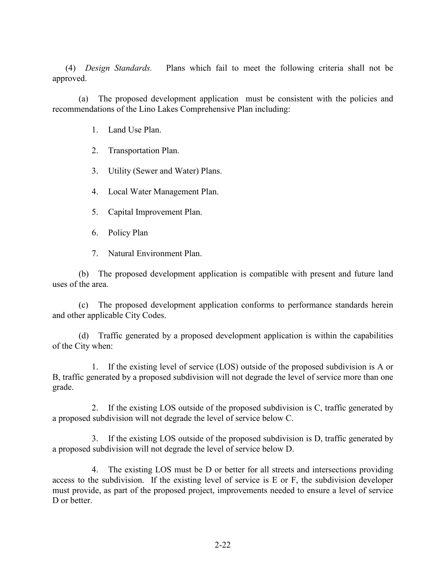(4) *Design Standards.* Plans which fail to meet the following criteria shall not be approved.

(a) The proposed development application must be consistent with the policies and recommendations of the Lino Lakes Comprehensive Plan including:

- 1. Land Use Plan.
- 2. Transportation Plan.
- 3. Utility (Sewer and Water) Plans.
- 4. Local Water Management Plan.
- 5. Capital Improvement Plan.
- 6. Policy Plan
- 7. Natural Environment Plan.

(b) The proposed development application is compatible with present and future land uses of the area.

(c) The proposed development application conforms to performance standards herein and other applicable City Codes.

(d) Traffic generated by a proposed development application is within the capabilities of the City when:

1. If the existing level of service (LOS) outside of the proposed subdivision is A or B, traffic generated by a proposed subdivision will not degrade the level of service more than one grade.

2. If the existing LOS outside of the proposed subdivision is C, traffic generated by a proposed subdivision will not degrade the level of service below C.

3. If the existing LOS outside of the proposed subdivision is D, traffic generated by a proposed subdivision will not degrade the level of service below D.

4. The existing LOS must be D or better for all streets and intersections providing access to the subdivision. If the existing level of service is E or F, the subdivision developer must provide, as part of the proposed project, improvements needed to ensure a level of service D or better.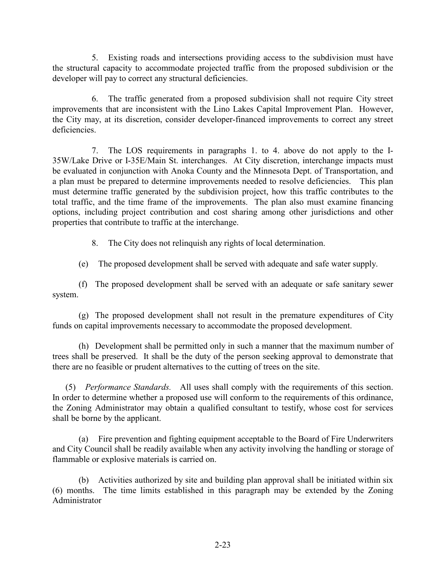5. Existing roads and intersections providing access to the subdivision must have the structural capacity to accommodate projected traffic from the proposed subdivision or the developer will pay to correct any structural deficiencies.

6. The traffic generated from a proposed subdivision shall not require City street improvements that are inconsistent with the Lino Lakes Capital Improvement Plan. However, the City may, at its discretion, consider developer-financed improvements to correct any street deficiencies.

7. The LOS requirements in paragraphs 1. to 4. above do not apply to the I-35W/Lake Drive or I-35E/Main St. interchanges. At City discretion, interchange impacts must be evaluated in conjunction with Anoka County and the Minnesota Dept. of Transportation, and a plan must be prepared to determine improvements needed to resolve deficiencies. This plan must determine traffic generated by the subdivision project, how this traffic contributes to the total traffic, and the time frame of the improvements. The plan also must examine financing options, including project contribution and cost sharing among other jurisdictions and other properties that contribute to traffic at the interchange.

8. The City does not relinquish any rights of local determination.

(e) The proposed development shall be served with adequate and safe water supply.

(f) The proposed development shall be served with an adequate or safe sanitary sewer system.

(g) The proposed development shall not result in the premature expenditures of City funds on capital improvements necessary to accommodate the proposed development.

(h) Development shall be permitted only in such a manner that the maximum number of trees shall be preserved. It shall be the duty of the person seeking approval to demonstrate that there are no feasible or prudent alternatives to the cutting of trees on the site.

(5) *Performance Standards.* All uses shall comply with the requirements of this section. In order to determine whether a proposed use will conform to the requirements of this ordinance, the Zoning Administrator may obtain a qualified consultant to testify, whose cost for services shall be borne by the applicant.

(a) Fire prevention and fighting equipment acceptable to the Board of Fire Underwriters and City Council shall be readily available when any activity involving the handling or storage of flammable or explosive materials is carried on.

(b) Activities authorized by site and building plan approval shall be initiated within six (6) months. The time limits established in this paragraph may be extended by the Zoning Administrator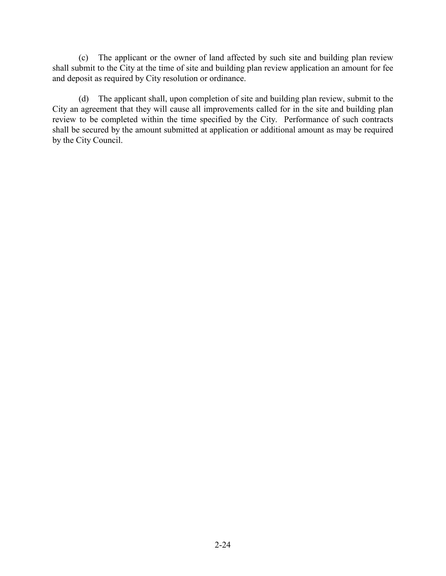(c) The applicant or the owner of land affected by such site and building plan review shall submit to the City at the time of site and building plan review application an amount for fee and deposit as required by City resolution or ordinance.

(d) The applicant shall, upon completion of site and building plan review, submit to the City an agreement that they will cause all improvements called for in the site and building plan review to be completed within the time specified by the City. Performance of such contracts shall be secured by the amount submitted at application or additional amount as may be required by the City Council.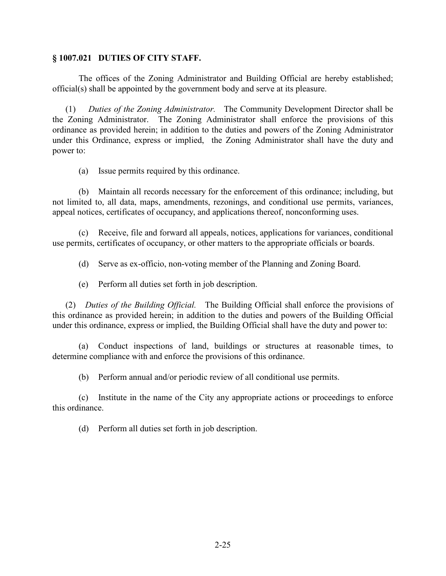### **§ 1007.021 DUTIES OF CITY STAFF.**

The offices of the Zoning Administrator and Building Official are hereby established; official(s) shall be appointed by the government body and serve at its pleasure.

(1) *Duties of the Zoning Administrator.*The Community Development Director shall be the Zoning Administrator. The Zoning Administrator shall enforce the provisions of this ordinance as provided herein; in addition to the duties and powers of the Zoning Administrator under this Ordinance, express or implied, the Zoning Administrator shall have the duty and power to:

(a) Issue permits required by this ordinance.

(b) Maintain all records necessary for the enforcement of this ordinance; including, but not limited to, all data, maps, amendments, rezonings, and conditional use permits, variances, appeal notices, certificates of occupancy, and applications thereof, nonconforming uses.

(c) Receive, file and forward all appeals, notices, applications for variances, conditional use permits, certificates of occupancy, or other matters to the appropriate officials or boards.

(d) Serve as ex-officio, non-voting member of the Planning and Zoning Board.

(e) Perform all duties set forth in job description.

(2) *Duties of the Building Official.* The Building Official shall enforce the provisions of this ordinance as provided herein; in addition to the duties and powers of the Building Official under this ordinance, express or implied, the Building Official shall have the duty and power to:

(a) Conduct inspections of land, buildings or structures at reasonable times, to determine compliance with and enforce the provisions of this ordinance.

(b) Perform annual and/or periodic review of all conditional use permits.

(c) Institute in the name of the City any appropriate actions or proceedings to enforce this ordinance.

(d) Perform all duties set forth in job description.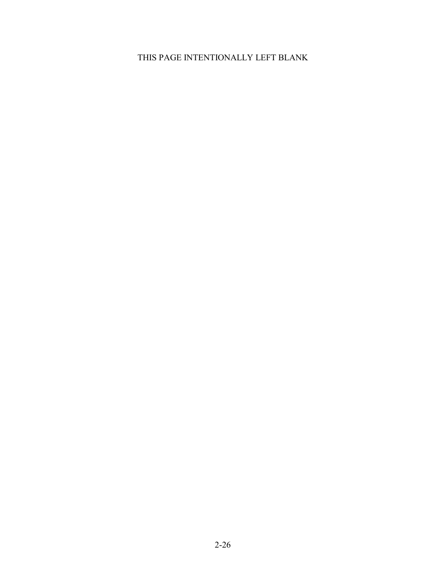# THIS PAGE INTENTIONALLY LEFT BLANK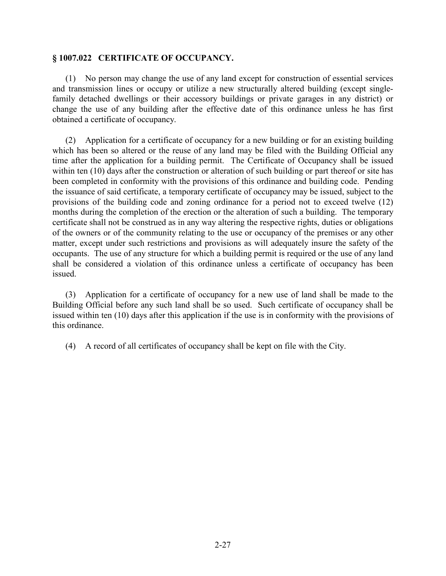### **§ 1007.022 CERTIFICATE OF OCCUPANCY.**

(1) No person may change the use of any land except for construction of essential services and transmission lines or occupy or utilize a new structurally altered building (except singlefamily detached dwellings or their accessory buildings or private garages in any district) or change the use of any building after the effective date of this ordinance unless he has first obtained a certificate of occupancy.

(2) Application for a certificate of occupancy for a new building or for an existing building which has been so altered or the reuse of any land may be filed with the Building Official any time after the application for a building permit. The Certificate of Occupancy shall be issued within ten (10) days after the construction or alteration of such building or part thereof or site has been completed in conformity with the provisions of this ordinance and building code. Pending the issuance of said certificate, a temporary certificate of occupancy may be issued, subject to the provisions of the building code and zoning ordinance for a period not to exceed twelve (12) months during the completion of the erection or the alteration of such a building. The temporary certificate shall not be construed as in any way altering the respective rights, duties or obligations of the owners or of the community relating to the use or occupancy of the premises or any other matter, except under such restrictions and provisions as will adequately insure the safety of the occupants. The use of any structure for which a building permit is required or the use of any land shall be considered a violation of this ordinance unless a certificate of occupancy has been issued.

(3) Application for a certificate of occupancy for a new use of land shall be made to the Building Official before any such land shall be so used. Such certificate of occupancy shall be issued within ten (10) days after this application if the use is in conformity with the provisions of this ordinance.

(4) A record of all certificates of occupancy shall be kept on file with the City.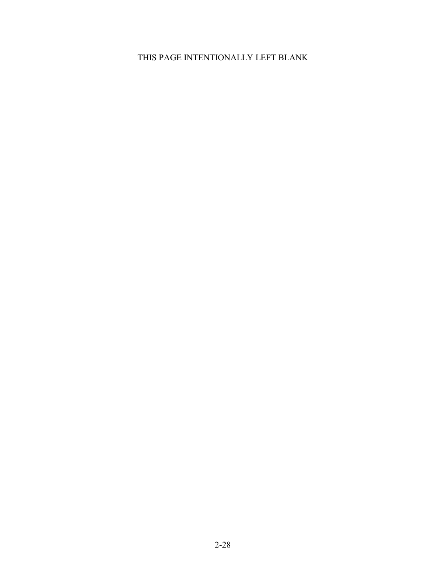# THIS PAGE INTENTIONALLY LEFT BLANK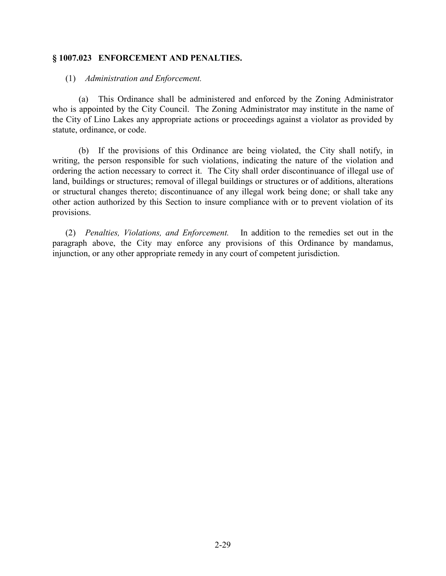### **§ 1007.023 ENFORCEMENT AND PENALTIES.**

### (1) *Administration and Enforcement.*

(a) This Ordinance shall be administered and enforced by the Zoning Administrator who is appointed by the City Council. The Zoning Administrator may institute in the name of the City of Lino Lakes any appropriate actions or proceedings against a violator as provided by statute, ordinance, or code.

(b) If the provisions of this Ordinance are being violated, the City shall notify, in writing, the person responsible for such violations, indicating the nature of the violation and ordering the action necessary to correct it. The City shall order discontinuance of illegal use of land, buildings or structures; removal of illegal buildings or structures or of additions, alterations or structural changes thereto; discontinuance of any illegal work being done; or shall take any other action authorized by this Section to insure compliance with or to prevent violation of its provisions.

(2) *Penalties, Violations, and Enforcement.* In addition to the remedies set out in the paragraph above, the City may enforce any provisions of this Ordinance by mandamus, injunction, or any other appropriate remedy in any court of competent jurisdiction.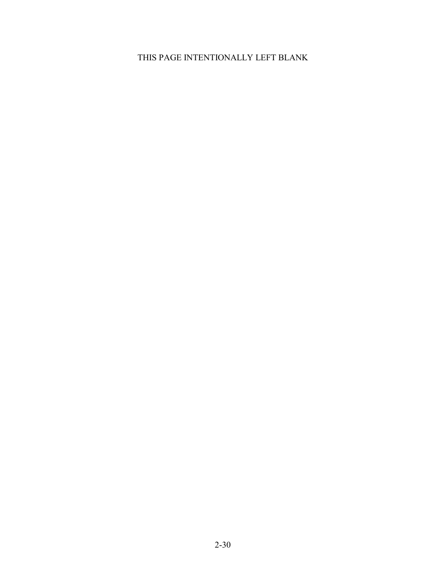# THIS PAGE INTENTIONALLY LEFT BLANK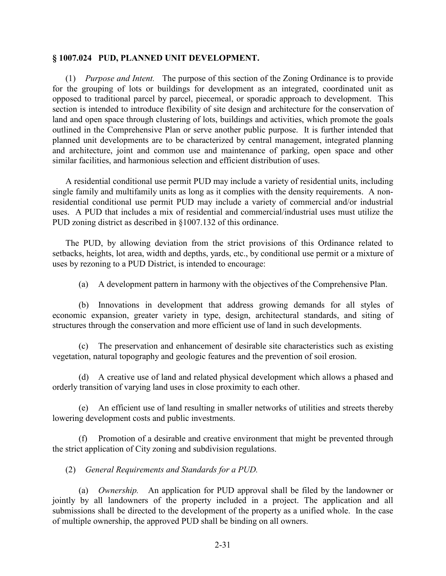#### **§ 1007.024 PUD, PLANNED UNIT DEVELOPMENT.**

(1) *Purpose and Intent.* The purpose of this section of the Zoning Ordinance is to provide for the grouping of lots or buildings for development as an integrated, coordinated unit as opposed to traditional parcel by parcel, piecemeal, or sporadic approach to development. This section is intended to introduce flexibility of site design and architecture for the conservation of land and open space through clustering of lots, buildings and activities, which promote the goals outlined in the Comprehensive Plan or serve another public purpose. It is further intended that planned unit developments are to be characterized by central management, integrated planning and architecture, joint and common use and maintenance of parking, open space and other similar facilities, and harmonious selection and efficient distribution of uses.

A residential conditional use permit PUD may include a variety of residential units, including single family and multifamily units as long as it complies with the density requirements. A nonresidential conditional use permit PUD may include a variety of commercial and/or industrial uses. A PUD that includes a mix of residential and commercial/industrial uses must utilize the PUD zoning district as described in §1007.132 of this ordinance.

The PUD, by allowing deviation from the strict provisions of this Ordinance related to setbacks, heights, lot area, width and depths, yards, etc., by conditional use permit or a mixture of uses by rezoning to a PUD District, is intended to encourage:

(a) A development pattern in harmony with the objectives of the Comprehensive Plan.

(b) Innovations in development that address growing demands for all styles of economic expansion, greater variety in type, design, architectural standards, and siting of structures through the conservation and more efficient use of land in such developments.

(c) The preservation and enhancement of desirable site characteristics such as existing vegetation, natural topography and geologic features and the prevention of soil erosion.

(d) A creative use of land and related physical development which allows a phased and orderly transition of varying land uses in close proximity to each other.

(e) An efficient use of land resulting in smaller networks of utilities and streets thereby lowering development costs and public investments.

(f) Promotion of a desirable and creative environment that might be prevented through the strict application of City zoning and subdivision regulations.

(2) *General Requirements and Standards for a PUD.*

(a) *Ownership.* An application for PUD approval shall be filed by the landowner or jointly by all landowners of the property included in a project. The application and all submissions shall be directed to the development of the property as a unified whole. In the case of multiple ownership, the approved PUD shall be binding on all owners.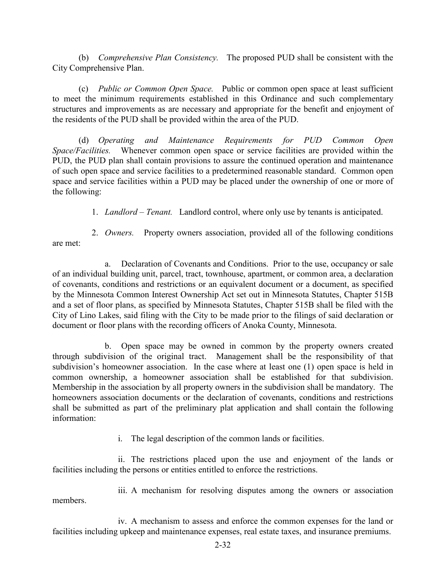(b) *Comprehensive Plan Consistency.* The proposed PUD shall be consistent with the City Comprehensive Plan.

(c) *Public or Common Open Space.* Public or common open space at least sufficient to meet the minimum requirements established in this Ordinance and such complementary structures and improvements as are necessary and appropriate for the benefit and enjoyment of the residents of the PUD shall be provided within the area of the PUD.

(d) *Operating and Maintenance Requirements for PUD Common Open Space/Facilities.* Whenever common open space or service facilities are provided within the PUD, the PUD plan shall contain provisions to assure the continued operation and maintenance of such open space and service facilities to a predetermined reasonable standard. Common open space and service facilities within a PUD may be placed under the ownership of one or more of the following:

1. *Landlord – Tenant.* Landlord control, where only use by tenants is anticipated.

2. *Owners.* Property owners association, provided all of the following conditions are met:

a. Declaration of Covenants and Conditions. Prior to the use, occupancy or sale of an individual building unit, parcel, tract, townhouse, apartment, or common area, a declaration of covenants, conditions and restrictions or an equivalent document or a document, as specified by the Minnesota Common Interest Ownership Act set out in Minnesota Statutes, Chapter 515B and a set of floor plans, as specified by Minnesota Statutes, Chapter 515B shall be filed with the City of Lino Lakes, said filing with the City to be made prior to the filings of said declaration or document or floor plans with the recording officers of Anoka County, Minnesota.

b. Open space may be owned in common by the property owners created through subdivision of the original tract. Management shall be the responsibility of that subdivision's homeowner association. In the case where at least one (1) open space is held in common ownership, a homeowner association shall be established for that subdivision. Membership in the association by all property owners in the subdivision shall be mandatory. The homeowners association documents or the declaration of covenants, conditions and restrictions shall be submitted as part of the preliminary plat application and shall contain the following information:

i. The legal description of the common lands or facilities.

ii. The restrictions placed upon the use and enjoyment of the lands or facilities including the persons or entities entitled to enforce the restrictions.

iii. A mechanism for resolving disputes among the owners or association members.

iv. A mechanism to assess and enforce the common expenses for the land or facilities including upkeep and maintenance expenses, real estate taxes, and insurance premiums.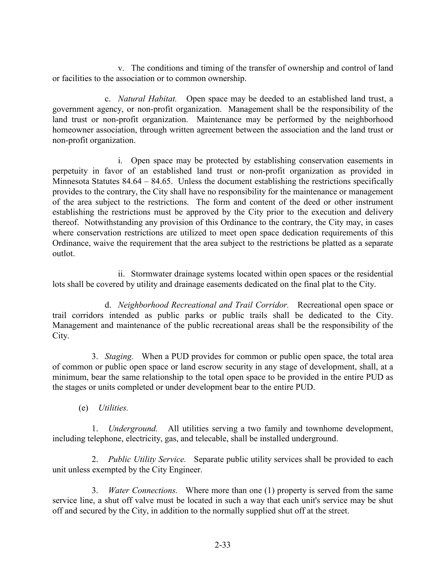v. The conditions and timing of the transfer of ownership and control of land or facilities to the association or to common ownership.

c. *Natural Habitat.* Open space may be deeded to an established land trust, a government agency, or non-profit organization. Management shall be the responsibility of the land trust or non-profit organization. Maintenance may be performed by the neighborhood homeowner association, through written agreement between the association and the land trust or non-profit organization.

i. Open space may be protected by establishing conservation easements in perpetuity in favor of an established land trust or non-profit organization as provided in Minnesota Statutes 84.64 – 84.65. Unless the document establishing the restrictions specifically provides to the contrary, the City shall have no responsibility for the maintenance or management of the area subject to the restrictions. The form and content of the deed or other instrument establishing the restrictions must be approved by the City prior to the execution and delivery thereof. Notwithstanding any provision of this Ordinance to the contrary, the City may, in cases where conservation restrictions are utilized to meet open space dedication requirements of this Ordinance, waive the requirement that the area subject to the restrictions be platted as a separate outlot.

ii. Stormwater drainage systems located within open spaces or the residential lots shall be covered by utility and drainage easements dedicated on the final plat to the City.

d. *Neighborhood Recreational and Trail Corridor.* Recreational open space or trail corridors intended as public parks or public trails shall be dedicated to the City. Management and maintenance of the public recreational areas shall be the responsibility of the City.

3. *Staging.* When a PUD provides for common or public open space, the total area of common or public open space or land escrow security in any stage of development, shall, at a minimum, bear the same relationship to the total open space to be provided in the entire PUD as the stages or units completed or under development bear to the entire PUD.

(e) *Utilities.*

1. *Underground.* All utilities serving a two family and townhome development, including telephone, electricity, gas, and telecable, shall be installed underground.

2. *Public Utility Service.* Separate public utility services shall be provided to each unit unless exempted by the City Engineer.

3. *Water Connections.* Where more than one (1) property is served from the same service line, a shut off valve must be located in such a way that each unit's service may be shut off and secured by the City, in addition to the normally supplied shut off at the street.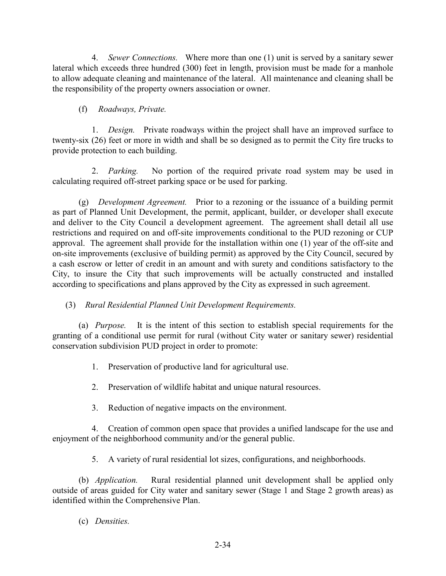4. *Sewer Connections.* Where more than one (1) unit is served by a sanitary sewer lateral which exceeds three hundred (300) feet in length, provision must be made for a manhole to allow adequate cleaning and maintenance of the lateral. All maintenance and cleaning shall be the responsibility of the property owners association or owner.

# (f) *Roadways, Private.*

1. *Design.* Private roadways within the project shall have an improved surface to twenty-six (26) feet or more in width and shall be so designed as to permit the City fire trucks to provide protection to each building.

2. *Parking.* No portion of the required private road system may be used in calculating required off-street parking space or be used for parking.

(g) *Development Agreement.* Prior to a rezoning or the issuance of a building permit as part of Planned Unit Development, the permit, applicant, builder, or developer shall execute and deliver to the City Council a development agreement. The agreement shall detail all use restrictions and required on and off-site improvements conditional to the PUD rezoning or CUP approval. The agreement shall provide for the installation within one (1) year of the off-site and on-site improvements (exclusive of building permit) as approved by the City Council, secured by a cash escrow or letter of credit in an amount and with surety and conditions satisfactory to the City, to insure the City that such improvements will be actually constructed and installed according to specifications and plans approved by the City as expressed in such agreement.

# (3) *Rural Residential Planned Unit Development Requirements.*

(a) *Purpose.* It is the intent of this section to establish special requirements for the granting of a conditional use permit for rural (without City water or sanitary sewer) residential conservation subdivision PUD project in order to promote:

- 1. Preservation of productive land for agricultural use.
- 2. Preservation of wildlife habitat and unique natural resources.
- 3. Reduction of negative impacts on the environment.

4. Creation of common open space that provides a unified landscape for the use and enjoyment of the neighborhood community and/or the general public.

5. A variety of rural residential lot sizes, configurations, and neighborhoods.

(b) *Application.* Rural residential planned unit development shall be applied only outside of areas guided for City water and sanitary sewer (Stage 1 and Stage 2 growth areas) as identified within the Comprehensive Plan.

# (c) *Densities.*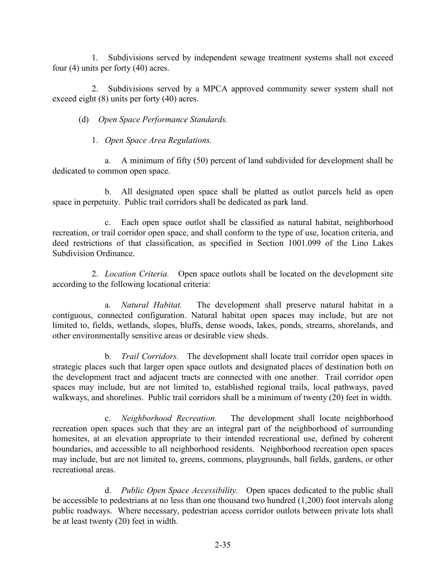1. Subdivisions served by independent sewage treatment systems shall not exceed four (4) units per forty (40) acres.

2. Subdivisions served by a MPCA approved community sewer system shall not exceed eight (8) units per forty (40) acres.

(d) *Open Space Performance Standards.*

1. *Open Space Area Regulations.* 

a. A minimum of fifty (50) percent of land subdivided for development shall be dedicated to common open space.

b. All designated open space shall be platted as outlot parcels held as open space in perpetuity. Public trail corridors shall be dedicated as park land.

c. Each open space outlot shall be classified as natural habitat, neighborhood recreation, or trail corridor open space, and shall conform to the type of use, location criteria, and deed restrictions of that classification, as specified in Section 1001.099 of the Lino Lakes Subdivision Ordinance.

2. *Location Criteria.* Open space outlots shall be located on the development site according to the following locational criteria:

a. *Natural Habitat.* The development shall preserve natural habitat in a contiguous, connected configuration. Natural habitat open spaces may include, but are not limited to, fields, wetlands, slopes, bluffs, dense woods, lakes, ponds, streams, shorelands, and other environmentally sensitive areas or desirable view sheds.

b. *Trail Corridors.* The development shall locate trail corridor open spaces in strategic places such that larger open space outlots and designated places of destination both on the development tract and adjacent tracts are connected with one another. Trail corridor open spaces may include, but are not limited to, established regional trails, local pathways, paved walkways, and shorelines. Public trail corridors shall be a minimum of twenty (20) feet in width.

c. *Neighborhood Recreation.* The development shall locate neighborhood recreation open spaces such that they are an integral part of the neighborhood of surrounding homesites, at an elevation appropriate to their intended recreational use, defined by coherent boundaries, and accessible to all neighborhood residents. Neighborhood recreation open spaces may include, but are not limited to, greens, commons, playgrounds, ball fields, gardens, or other recreational areas.

d. *Public Open Space Accessibility.* Open spaces dedicated to the public shall be accessible to pedestrians at no less than one thousand two hundred (1,200) foot intervals along public roadways. Where necessary, pedestrian access corridor outlots between private lots shall be at least twenty (20) feet in width.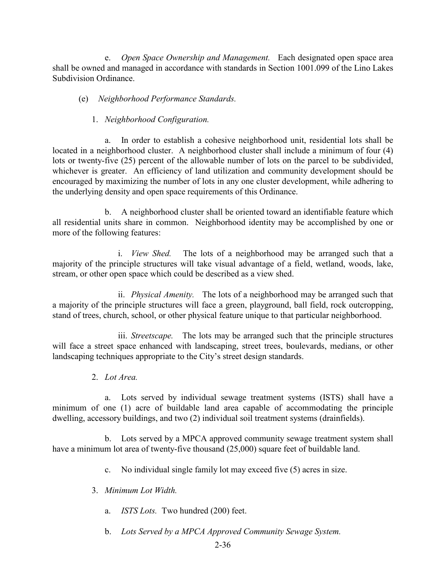e. *Open Space Ownership and Management.* Each designated open space area shall be owned and managed in accordance with standards in Section 1001.099 of the Lino Lakes Subdivision Ordinance.

# (e) *Neighborhood Performance Standards.*

# 1. *Neighborhood Configuration.*

a. In order to establish a cohesive neighborhood unit, residential lots shall be located in a neighborhood cluster. A neighborhood cluster shall include a minimum of four (4) lots or twenty-five (25) percent of the allowable number of lots on the parcel to be subdivided, whichever is greater. An efficiency of land utilization and community development should be encouraged by maximizing the number of lots in any one cluster development, while adhering to the underlying density and open space requirements of this Ordinance.

b. A neighborhood cluster shall be oriented toward an identifiable feature which all residential units share in common. Neighborhood identity may be accomplished by one or more of the following features:

i. *View Shed.* The lots of a neighborhood may be arranged such that a majority of the principle structures will take visual advantage of a field, wetland, woods, lake, stream, or other open space which could be described as a view shed.

ii. *Physical Amenity.* The lots of a neighborhood may be arranged such that a majority of the principle structures will face a green, playground, ball field, rock outcropping, stand of trees, church, school, or other physical feature unique to that particular neighborhood.

iii. *Streetscape.* The lots may be arranged such that the principle structures will face a street space enhanced with landscaping, street trees, boulevards, medians, or other landscaping techniques appropriate to the City's street design standards.

2. *Lot Area.*

a. Lots served by individual sewage treatment systems (ISTS) shall have a minimum of one (1) acre of buildable land area capable of accommodating the principle dwelling, accessory buildings, and two (2) individual soil treatment systems (drainfields).

b. Lots served by a MPCA approved community sewage treatment system shall have a minimum lot area of twenty-five thousand (25,000) square feet of buildable land.

c. No individual single family lot may exceed five (5) acres in size.

- 3. *Minimum Lot Width.*
	- a. *ISTS Lots.* Two hundred (200) feet.
	- b. *Lots Served by a MPCA Approved Community Sewage System.*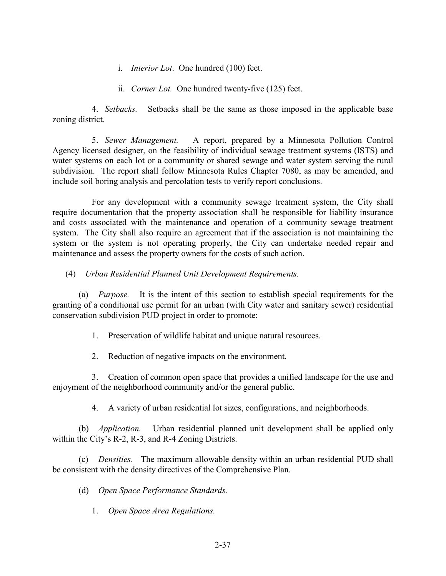- i. *Interior Lot*. One hundred (100) feet.
- ii. *Corner Lot.* One hundred twenty-five (125) feet.

4. *Setbacks.* Setbacks shall be the same as those imposed in the applicable base zoning district.

5. *Sewer Management.* A report, prepared by a Minnesota Pollution Control Agency licensed designer, on the feasibility of individual sewage treatment systems (ISTS) and water systems on each lot or a community or shared sewage and water system serving the rural subdivision. The report shall follow Minnesota Rules Chapter 7080, as may be amended, and include soil boring analysis and percolation tests to verify report conclusions.

For any development with a community sewage treatment system, the City shall require documentation that the property association shall be responsible for liability insurance and costs associated with the maintenance and operation of a community sewage treatment system. The City shall also require an agreement that if the association is not maintaining the system or the system is not operating properly, the City can undertake needed repair and maintenance and assess the property owners for the costs of such action.

### (4) *Urban Residential Planned Unit Development Requirements.*

(a) *Purpose.* It is the intent of this section to establish special requirements for the granting of a conditional use permit for an urban (with City water and sanitary sewer) residential conservation subdivision PUD project in order to promote:

- 1. Preservation of wildlife habitat and unique natural resources.
- 2. Reduction of negative impacts on the environment.

3. Creation of common open space that provides a unified landscape for the use and enjoyment of the neighborhood community and/or the general public.

4. A variety of urban residential lot sizes, configurations, and neighborhoods.

(b) *Application.* Urban residential planned unit development shall be applied only within the City's R-2, R-3, and R-4 Zoning Districts.

(c) *Densities*. The maximum allowable density within an urban residential PUD shall be consistent with the density directives of the Comprehensive Plan.

- (d) *Open Space Performance Standards.*
	- 1. *Open Space Area Regulations.*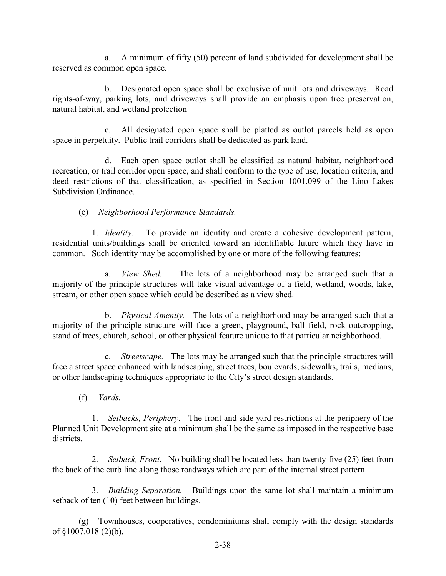a. A minimum of fifty (50) percent of land subdivided for development shall be reserved as common open space.

b. Designated open space shall be exclusive of unit lots and driveways. Road rights-of-way, parking lots, and driveways shall provide an emphasis upon tree preservation, natural habitat, and wetland protection

c. All designated open space shall be platted as outlot parcels held as open space in perpetuity. Public trail corridors shall be dedicated as park land.

d. Each open space outlot shall be classified as natural habitat, neighborhood recreation, or trail corridor open space, and shall conform to the type of use, location criteria, and deed restrictions of that classification, as specified in Section 1001.099 of the Lino Lakes Subdivision Ordinance.

(e) *Neighborhood Performance Standards.*

1. *Identity.* To provide an identity and create a cohesive development pattern, residential units/buildings shall be oriented toward an identifiable future which they have in common. Such identity may be accomplished by one or more of the following features:

a. *View Shed.* The lots of a neighborhood may be arranged such that a majority of the principle structures will take visual advantage of a field, wetland, woods, lake, stream, or other open space which could be described as a view shed.

b. *Physical Amenity.* The lots of a neighborhood may be arranged such that a majority of the principle structure will face a green, playground, ball field, rock outcropping, stand of trees, church, school, or other physical feature unique to that particular neighborhood.

c. *Streetscape.* The lots may be arranged such that the principle structures will face a street space enhanced with landscaping, street trees, boulevards, sidewalks, trails, medians, or other landscaping techniques appropriate to the City's street design standards.

(f) *Yards.*

1. *Setbacks, Periphery*. The front and side yard restrictions at the periphery of the Planned Unit Development site at a minimum shall be the same as imposed in the respective base districts.

2. *Setback, Front*. No building shall be located less than twenty-five (25) feet from the back of the curb line along those roadways which are part of the internal street pattern.

3. *Building Separation.* Buildings upon the same lot shall maintain a minimum setback of ten (10) feet between buildings.

(g) Townhouses, cooperatives, condominiums shall comply with the design standards of §1007.018 (2)(b).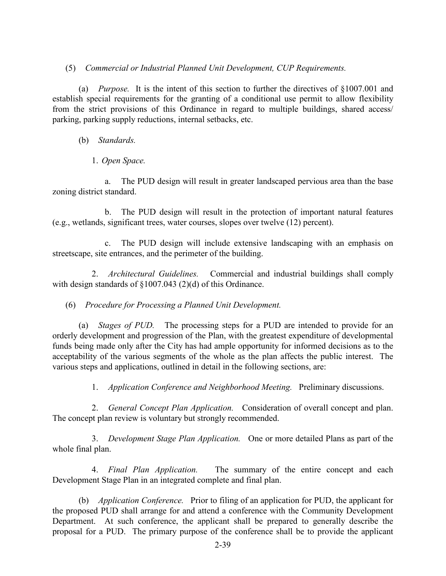## (5) *Commercial or Industrial Planned Unit Development, CUP Requirements.*

(a) *Purpose.* It is the intent of this section to further the directives of §1007.001 and establish special requirements for the granting of a conditional use permit to allow flexibility from the strict provisions of this Ordinance in regard to multiple buildings, shared access/ parking, parking supply reductions, internal setbacks, etc.

## (b) *Standards.*

# 1. *Open Space.*

a. The PUD design will result in greater landscaped pervious area than the base zoning district standard.

b. The PUD design will result in the protection of important natural features (e.g., wetlands, significant trees, water courses, slopes over twelve (12) percent).

c. The PUD design will include extensive landscaping with an emphasis on streetscape, site entrances, and the perimeter of the building.

2. *Architectural Guidelines.* Commercial and industrial buildings shall comply with design standards of  $\S 1007.043$  (2)(d) of this Ordinance.

# (6) *Procedure for Processing a Planned Unit Development.*

(a) *Stages of PUD.* The processing steps for a PUD are intended to provide for an orderly development and progression of the Plan, with the greatest expenditure of developmental funds being made only after the City has had ample opportunity for informed decisions as to the acceptability of the various segments of the whole as the plan affects the public interest. The various steps and applications, outlined in detail in the following sections, are:

1. *Application Conference and Neighborhood Meeting.* Preliminary discussions.

2. *General Concept Plan Application.* Consideration of overall concept and plan. The concept plan review is voluntary but strongly recommended.

3. *Development Stage Plan Application.* One or more detailed Plans as part of the whole final plan.

4. *Final Plan Application.* The summary of the entire concept and each Development Stage Plan in an integrated complete and final plan.

(b) *Application Conference.* Prior to filing of an application for PUD, the applicant for the proposed PUD shall arrange for and attend a conference with the Community Development Department. At such conference, the applicant shall be prepared to generally describe the proposal for a PUD. The primary purpose of the conference shall be to provide the applicant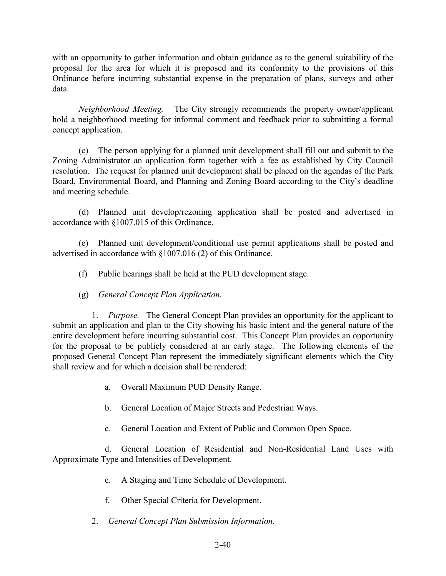with an opportunity to gather information and obtain guidance as to the general suitability of the proposal for the area for which it is proposed and its conformity to the provisions of this Ordinance before incurring substantial expense in the preparation of plans, surveys and other data.

*Neighborhood Meeting.* The City strongly recommends the property owner/applicant hold a neighborhood meeting for informal comment and feedback prior to submitting a formal concept application.

(c) The person applying for a planned unit development shall fill out and submit to the Zoning Administrator an application form together with a fee as established by City Council resolution. The request for planned unit development shall be placed on the agendas of the Park Board, Environmental Board, and Planning and Zoning Board according to the City's deadline and meeting schedule.

(d) Planned unit develop/rezoning application shall be posted and advertised in accordance with §1007.015 of this Ordinance.

(e) Planned unit development/conditional use permit applications shall be posted and advertised in accordance with §1007.016 (2) of this Ordinance.

(f) Public hearings shall be held at the PUD development stage.

(g) *General Concept Plan Application.*

1. *Purpose.* The General Concept Plan provides an opportunity for the applicant to submit an application and plan to the City showing his basic intent and the general nature of the entire development before incurring substantial cost. This Concept Plan provides an opportunity for the proposal to be publicly considered at an early stage. The following elements of the proposed General Concept Plan represent the immediately significant elements which the City shall review and for which a decision shall be rendered:

- a. Overall Maximum PUD Density Range.
- b. General Location of Major Streets and Pedestrian Ways.
- c. General Location and Extent of Public and Common Open Space.

d. General Location of Residential and Non-Residential Land Uses with Approximate Type and Intensities of Development.

- e. A Staging and Time Schedule of Development.
- f. Other Special Criteria for Development.
- 2. *General Concept Plan Submission Information.*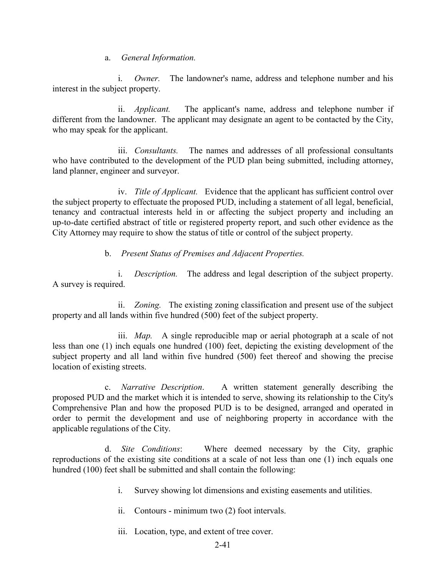a. *General Information.*

i. *Owner.* The landowner's name, address and telephone number and his interest in the subject property.

ii. *Applicant.* The applicant's name, address and telephone number if different from the landowner. The applicant may designate an agent to be contacted by the City, who may speak for the applicant.

iii. *Consultants.* The names and addresses of all professional consultants who have contributed to the development of the PUD plan being submitted, including attorney, land planner, engineer and surveyor.

iv. *Title of Applicant.* Evidence that the applicant has sufficient control over the subject property to effectuate the proposed PUD, including a statement of all legal, beneficial, tenancy and contractual interests held in or affecting the subject property and including an up-to-date certified abstract of title or registered property report, and such other evidence as the City Attorney may require to show the status of title or control of the subject property.

b. *Present Status of Premises and Adjacent Properties.*

*Description.* The address and legal description of the subject property. A survey is required.

ii. *Zoning.* The existing zoning classification and present use of the subject property and all lands within five hundred (500) feet of the subject property.

iii. *Map.* A single reproducible map or aerial photograph at a scale of not less than one (1) inch equals one hundred (100) feet, depicting the existing development of the subject property and all land within five hundred (500) feet thereof and showing the precise location of existing streets.

c. *Narrative Description*. A written statement generally describing the proposed PUD and the market which it is intended to serve, showing its relationship to the City's Comprehensive Plan and how the proposed PUD is to be designed, arranged and operated in order to permit the development and use of neighboring property in accordance with the applicable regulations of the City.

d. *Site Conditions*: Where deemed necessary by the City, graphic reproductions of the existing site conditions at a scale of not less than one (1) inch equals one hundred (100) feet shall be submitted and shall contain the following:

- i. Survey showing lot dimensions and existing easements and utilities.
- ii. Contours minimum two (2) foot intervals.
- iii. Location, type, and extent of tree cover.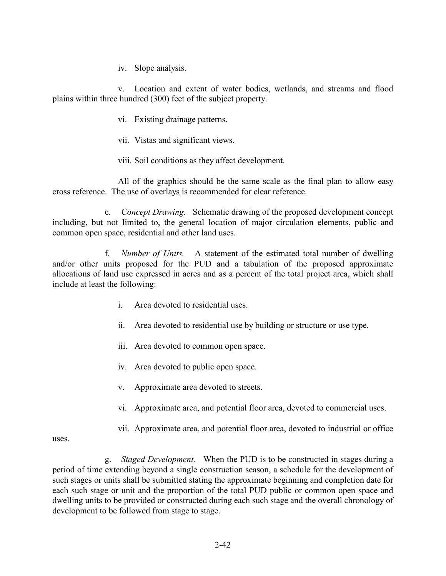iv. Slope analysis.

v. Location and extent of water bodies, wetlands, and streams and flood plains within three hundred (300) feet of the subject property.

- vi. Existing drainage patterns.
- vii. Vistas and significant views.
- viii. Soil conditions as they affect development.

All of the graphics should be the same scale as the final plan to allow easy cross reference. The use of overlays is recommended for clear reference.

e. *Concept Drawing.* Schematic drawing of the proposed development concept including, but not limited to, the general location of major circulation elements, public and common open space, residential and other land uses.

f. *Number of Units.* A statement of the estimated total number of dwelling and/or other units proposed for the PUD and a tabulation of the proposed approximate allocations of land use expressed in acres and as a percent of the total project area, which shall include at least the following:

- i. Area devoted to residential uses.
- ii. Area devoted to residential use by building or structure or use type.
- iii. Area devoted to common open space.
- iv. Area devoted to public open space.
- v. Approximate area devoted to streets.
- vi. Approximate area, and potential floor area, devoted to commercial uses.
- vii. Approximate area, and potential floor area, devoted to industrial or office

uses.

g. *Staged Development.* When the PUD is to be constructed in stages during a period of time extending beyond a single construction season, a schedule for the development of such stages or units shall be submitted stating the approximate beginning and completion date for each such stage or unit and the proportion of the total PUD public or common open space and dwelling units to be provided or constructed during each such stage and the overall chronology of development to be followed from stage to stage.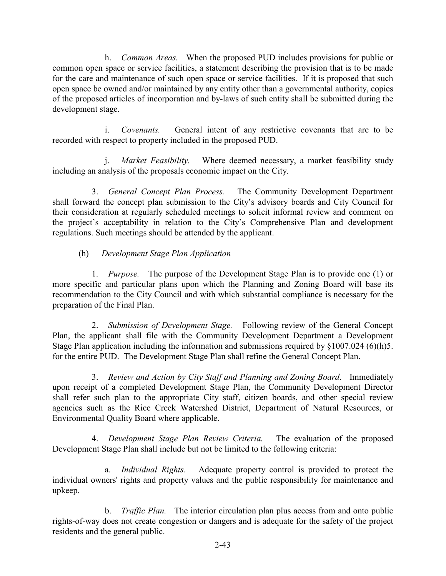h. *Common Areas.* When the proposed PUD includes provisions for public or common open space or service facilities, a statement describing the provision that is to be made for the care and maintenance of such open space or service facilities. If it is proposed that such open space be owned and/or maintained by any entity other than a governmental authority, copies of the proposed articles of incorporation and by-laws of such entity shall be submitted during the development stage.

i. *Covenants.* General intent of any restrictive covenants that are to be recorded with respect to property included in the proposed PUD.

j. *Market Feasibility.* Where deemed necessary, a market feasibility study including an analysis of the proposals economic impact on the City.

3. *General Concept Plan Process.* The Community Development Department shall forward the concept plan submission to the City's advisory boards and City Council for their consideration at regularly scheduled meetings to solicit informal review and comment on the project's acceptability in relation to the City's Comprehensive Plan and development regulations. Such meetings should be attended by the applicant.

# (h) *Development Stage Plan Application*

1. *Purpose.* The purpose of the Development Stage Plan is to provide one (1) or more specific and particular plans upon which the Planning and Zoning Board will base its recommendation to the City Council and with which substantial compliance is necessary for the preparation of the Final Plan.

2. *Submission of Development Stage.* Following review of the General Concept Plan, the applicant shall file with the Community Development Department a Development Stage Plan application including the information and submissions required by §1007.024 (6)(h)5. for the entire PUD. The Development Stage Plan shall refine the General Concept Plan.

3. *Review and Action by City Staff and Planning and Zoning Board*. Immediately upon receipt of a completed Development Stage Plan, the Community Development Director shall refer such plan to the appropriate City staff, citizen boards, and other special review agencies such as the Rice Creek Watershed District, Department of Natural Resources, or Environmental Quality Board where applicable.

4. *Development Stage Plan Review Criteria.* The evaluation of the proposed Development Stage Plan shall include but not be limited to the following criteria:

a. *Individual Rights*. Adequate property control is provided to protect the individual owners' rights and property values and the public responsibility for maintenance and upkeep.

b. *Traffic Plan.* The interior circulation plan plus access from and onto public rights-of-way does not create congestion or dangers and is adequate for the safety of the project residents and the general public.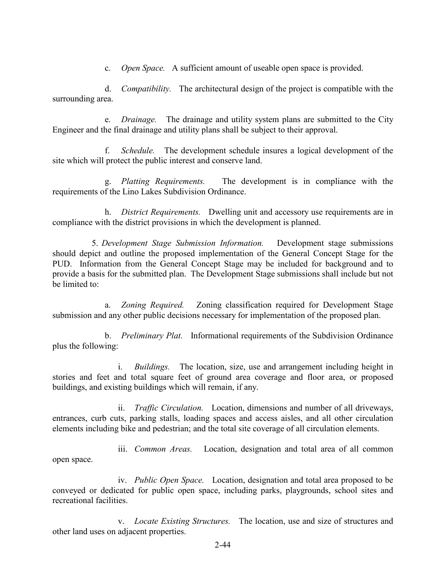c. *Open Space.* A sufficient amount of useable open space is provided.

d. *Compatibility.* The architectural design of the project is compatible with the surrounding area.

e. *Drainage.* The drainage and utility system plans are submitted to the City Engineer and the final drainage and utility plans shall be subject to their approval.

f. *Schedule.* The development schedule insures a logical development of the site which will protect the public interest and conserve land.

g. *Platting Requirements.* The development is in compliance with the requirements of the Lino Lakes Subdivision Ordinance.

h. *District Requirements.* Dwelling unit and accessory use requirements are in compliance with the district provisions in which the development is planned.

5. *Development Stage Submission Information.* Development stage submissions should depict and outline the proposed implementation of the General Concept Stage for the PUD. Information from the General Concept Stage may be included for background and to provide a basis for the submitted plan. The Development Stage submissions shall include but not be limited to:

a. *Zoning Required.* Zoning classification required for Development Stage submission and any other public decisions necessary for implementation of the proposed plan.

b. *Preliminary Plat.* Informational requirements of the Subdivision Ordinance plus the following:

i. *Buildings.* The location, size, use and arrangement including height in stories and feet and total square feet of ground area coverage and floor area, or proposed buildings, and existing buildings which will remain, if any.

ii. *Traffic Circulation.* Location, dimensions and number of all driveways, entrances, curb cuts, parking stalls, loading spaces and access aisles, and all other circulation elements including bike and pedestrian; and the total site coverage of all circulation elements.

iii. *Common Areas.* Location, designation and total area of all common open space.

iv. *Public Open Space.* Location, designation and total area proposed to be conveyed or dedicated for public open space, including parks, playgrounds, school sites and recreational facilities.

v. *Locate Existing Structures.* The location, use and size of structures and other land uses on adjacent properties.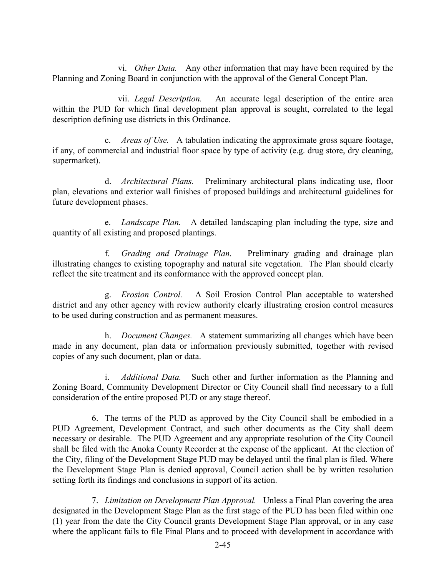vi. *Other Data.* Any other information that may have been required by the Planning and Zoning Board in conjunction with the approval of the General Concept Plan.

vii. *Legal Description.* An accurate legal description of the entire area within the PUD for which final development plan approval is sought, correlated to the legal description defining use districts in this Ordinance.

c. *Areas of Use.* A tabulation indicating the approximate gross square footage, if any, of commercial and industrial floor space by type of activity (e.g. drug store, dry cleaning, supermarket).

d. *Architectural Plans.* Preliminary architectural plans indicating use, floor plan, elevations and exterior wall finishes of proposed buildings and architectural guidelines for future development phases.

e. *Landscape Plan.* A detailed landscaping plan including the type, size and quantity of all existing and proposed plantings.

f. *Grading and Drainage Plan.* Preliminary grading and drainage plan illustrating changes to existing topography and natural site vegetation. The Plan should clearly reflect the site treatment and its conformance with the approved concept plan.

g. *Erosion Control.* A Soil Erosion Control Plan acceptable to watershed district and any other agency with review authority clearly illustrating erosion control measures to be used during construction and as permanent measures.

h. *Document Changes.* A statement summarizing all changes which have been made in any document, plan data or information previously submitted, together with revised copies of any such document, plan or data.

i. *Additional Data.* Such other and further information as the Planning and Zoning Board, Community Development Director or City Council shall find necessary to a full consideration of the entire proposed PUD or any stage thereof.

6. The terms of the PUD as approved by the City Council shall be embodied in a PUD Agreement, Development Contract, and such other documents as the City shall deem necessary or desirable. The PUD Agreement and any appropriate resolution of the City Council shall be filed with the Anoka County Recorder at the expense of the applicant. At the election of the City, filing of the Development Stage PUD may be delayed until the final plan is filed. Where the Development Stage Plan is denied approval, Council action shall be by written resolution setting forth its findings and conclusions in support of its action.

7. *Limitation on Development Plan Approval.* Unless a Final Plan covering the area designated in the Development Stage Plan as the first stage of the PUD has been filed within one (1) year from the date the City Council grants Development Stage Plan approval, or in any case where the applicant fails to file Final Plans and to proceed with development in accordance with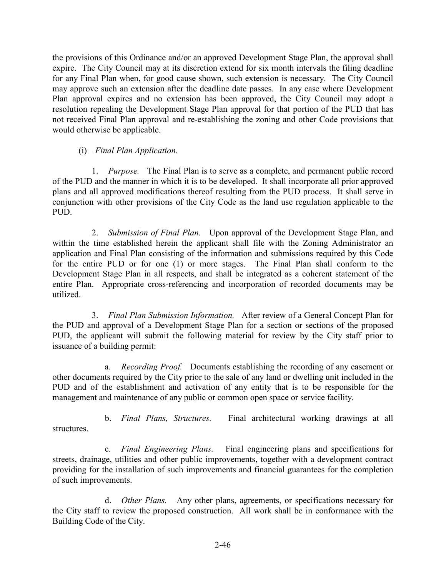the provisions of this Ordinance and/or an approved Development Stage Plan, the approval shall expire. The City Council may at its discretion extend for six month intervals the filing deadline for any Final Plan when, for good cause shown, such extension is necessary. The City Council may approve such an extension after the deadline date passes. In any case where Development Plan approval expires and no extension has been approved, the City Council may adopt a resolution repealing the Development Stage Plan approval for that portion of the PUD that has not received Final Plan approval and re-establishing the zoning and other Code provisions that would otherwise be applicable.

# (i) *Final Plan Application.*

1. *Purpose.* The Final Plan is to serve as a complete, and permanent public record of the PUD and the manner in which it is to be developed. It shall incorporate all prior approved plans and all approved modifications thereof resulting from the PUD process. It shall serve in conjunction with other provisions of the City Code as the land use regulation applicable to the PUD.

2. *Submission of Final Plan.* Upon approval of the Development Stage Plan, and within the time established herein the applicant shall file with the Zoning Administrator an application and Final Plan consisting of the information and submissions required by this Code for the entire PUD or for one (1) or more stages. The Final Plan shall conform to the Development Stage Plan in all respects, and shall be integrated as a coherent statement of the entire Plan. Appropriate cross-referencing and incorporation of recorded documents may be utilized.

3. *Final Plan Submission Information.* After review of a General Concept Plan for the PUD and approval of a Development Stage Plan for a section or sections of the proposed PUD, the applicant will submit the following material for review by the City staff prior to issuance of a building permit:

a. *Recording Proof.* Documents establishing the recording of any easement or other documents required by the City prior to the sale of any land or dwelling unit included in the PUD and of the establishment and activation of any entity that is to be responsible for the management and maintenance of any public or common open space or service facility.

b. *Final Plans, Structures.* Final architectural working drawings at all structures.

c. *Final Engineering Plans.* Final engineering plans and specifications for streets, drainage, utilities and other public improvements, together with a development contract providing for the installation of such improvements and financial guarantees for the completion of such improvements.

d. *Other Plans.* Any other plans, agreements, or specifications necessary for the City staff to review the proposed construction. All work shall be in conformance with the Building Code of the City.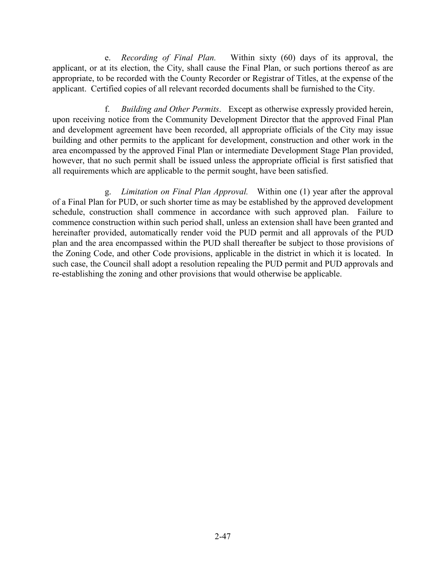e. *Recording of Final Plan.* Within sixty (60) days of its approval, the applicant, or at its election, the City, shall cause the Final Plan, or such portions thereof as are appropriate, to be recorded with the County Recorder or Registrar of Titles, at the expense of the applicant. Certified copies of all relevant recorded documents shall be furnished to the City.

f. *Building and Other Permits*. Except as otherwise expressly provided herein, upon receiving notice from the Community Development Director that the approved Final Plan and development agreement have been recorded, all appropriate officials of the City may issue building and other permits to the applicant for development, construction and other work in the area encompassed by the approved Final Plan or intermediate Development Stage Plan provided, however, that no such permit shall be issued unless the appropriate official is first satisfied that all requirements which are applicable to the permit sought, have been satisfied.

g. *Limitation on Final Plan Approval.* Within one (1) year after the approval of a Final Plan for PUD, or such shorter time as may be established by the approved development schedule, construction shall commence in accordance with such approved plan. Failure to commence construction within such period shall, unless an extension shall have been granted and hereinafter provided, automatically render void the PUD permit and all approvals of the PUD plan and the area encompassed within the PUD shall thereafter be subject to those provisions of the Zoning Code, and other Code provisions, applicable in the district in which it is located. In such case, the Council shall adopt a resolution repealing the PUD permit and PUD approvals and re-establishing the zoning and other provisions that would otherwise be applicable.